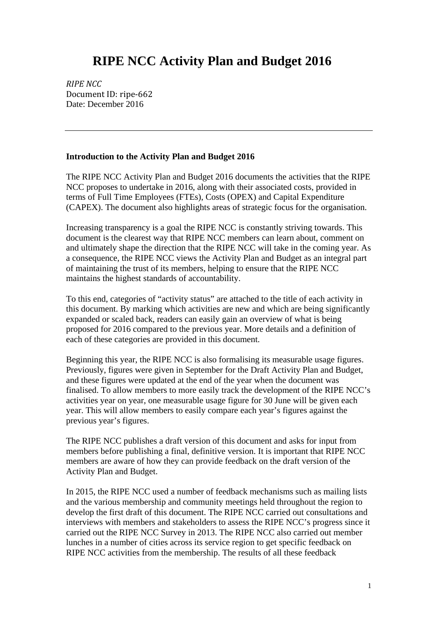# **RIPE NCC Activity Plan and Budget 2016**

*RIPE NCC* Document ID: ripe-662 Date: December 2016

#### **Introduction to the Activity Plan and Budget 2016**

The RIPE NCC Activity Plan and Budget 2016 documents the activities that the RIPE NCC proposes to undertake in 2016, along with their associated costs, provided in terms of Full Time Employees (FTEs), Costs (OPEX) and Capital Expenditure (CAPEX). The document also highlights areas of strategic focus for the organisation.

Increasing transparency is a goal the RIPE NCC is constantly striving towards. This document is the clearest way that RIPE NCC members can learn about, comment on and ultimately shape the direction that the RIPE NCC will take in the coming year. As a consequence, the RIPE NCC views the Activity Plan and Budget as an integral part of maintaining the trust of its members, helping to ensure that the RIPE NCC maintains the highest standards of accountability.

To this end, categories of "activity status" are attached to the title of each activity in this document. By marking which activities are new and which are being significantly expanded or scaled back, readers can easily gain an overview of what is being proposed for 2016 compared to the previous year. More details and a definition of each of these categories are provided in this document.

Beginning this year, the RIPE NCC is also formalising its measurable usage figures. Previously, figures were given in September for the Draft Activity Plan and Budget, and these figures were updated at the end of the year when the document was finalised. To allow members to more easily track the development of the RIPE NCC's activities year on year, one measurable usage figure for 30 June will be given each year. This will allow members to easily compare each year's figures against the previous year's figures.

The RIPE NCC publishes a draft version of this document and asks for input from members before publishing a final, definitive version. It is important that RIPE NCC members are aware of how they can provide feedback on the draft version of the Activity Plan and Budget.

In 2015, the RIPE NCC used a number of feedback mechanisms such as mailing lists and the various membership and community meetings held throughout the region to develop the first draft of this document. The RIPE NCC carried out consultations and interviews with members and stakeholders to assess the RIPE NCC's progress since it carried out the RIPE NCC Survey in 2013. The RIPE NCC also carried out member lunches in a number of cities across its service region to get specific feedback on RIPE NCC activities from the membership. The results of all these feedback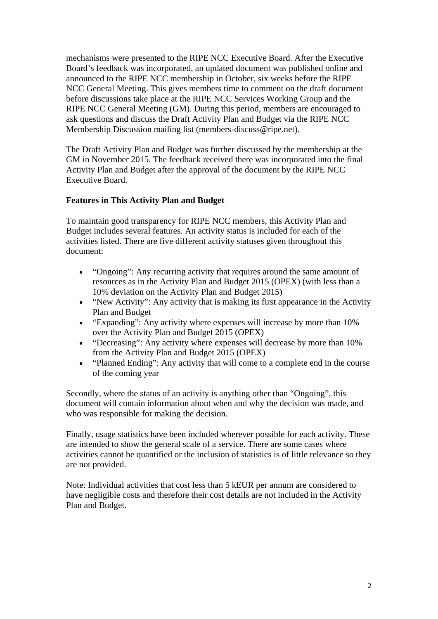mechanisms were presented to the RIPE NCC Executive Board. After the Executive Board's feedback was incorporated, an updated document was published online and announced to the RIPE NCC membership in October, six weeks before the RIPE NCC General Meeting. This gives members time to comment on the draft document before discussions take place at the RIPE NCC Services Working Group and the RIPE NCC General Meeting (GM). During this period, members are encouraged to ask questions and discuss the Draft Activity Plan and Budget via the RIPE NCC Membership Discussion mailing list (members-discuss@ripe.net).

The Draft Activity Plan and Budget was further discussed by the membership at the GM in November 2015. The feedback received there was incorporated into the final Activity Plan and Budget after the approval of the document by the RIPE NCC Executive Board.

#### **Features in This Activity Plan and Budget**

To maintain good transparency for RIPE NCC members, this Activity Plan and Budget includes several features. An activity status is included for each of the activities listed. There are five different activity statuses given throughout this document:

- "Ongoing": Any recurring activity that requires around the same amount of resources as in the Activity Plan and Budget 2015 (OPEX) (with less than a 10% deviation on the Activity Plan and Budget 2015)
- "New Activity": Any activity that is making its first appearance in the Activity Plan and Budget
- "Expanding": Any activity where expenses will increase by more than 10% over the Activity Plan and Budget 2015 (OPEX)
- "Decreasing": Any activity where expenses will decrease by more than 10% from the Activity Plan and Budget 2015 (OPEX)
- "Planned Ending": Any activity that will come to a complete end in the course of the coming year

Secondly, where the status of an activity is anything other than "Ongoing", this document will contain information about when and why the decision was made, and who was responsible for making the decision.

Finally, usage statistics have been included wherever possible for each activity. These are intended to show the general scale of a service. There are some cases where activities cannot be quantified or the inclusion of statistics is of little relevance so they are not provided.

Note: Individual activities that cost less than 5 kEUR per annum are considered to have negligible costs and therefore their cost details are not included in the Activity Plan and Budget.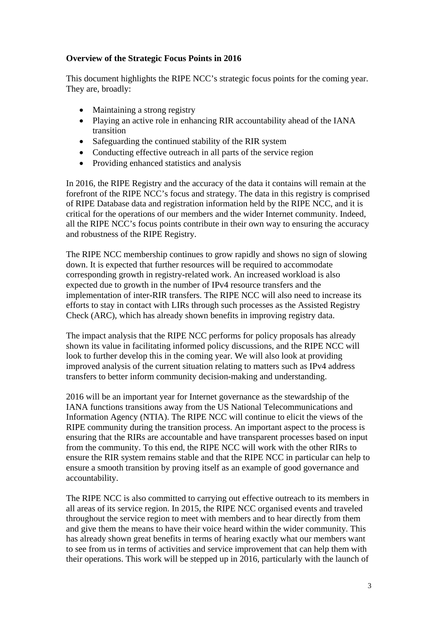# **Overview of the Strategic Focus Points in 2016**

This document highlights the RIPE NCC's strategic focus points for the coming year. They are, broadly:

- Maintaining a strong registry
- Playing an active role in enhancing RIR accountability ahead of the IANA transition
- Safeguarding the continued stability of the RIR system
- Conducting effective outreach in all parts of the service region
- Providing enhanced statistics and analysis

In 2016, the RIPE Registry and the accuracy of the data it contains will remain at the forefront of the RIPE NCC's focus and strategy. The data in this registry is comprised of RIPE Database data and registration information held by the RIPE NCC, and it is critical for the operations of our members and the wider Internet community. Indeed, all the RIPE NCC's focus points contribute in their own way to ensuring the accuracy and robustness of the RIPE Registry.

The RIPE NCC membership continues to grow rapidly and shows no sign of slowing down. It is expected that further resources will be required to accommodate corresponding growth in registry-related work. An increased workload is also expected due to growth in the number of IPv4 resource transfers and the implementation of inter-RIR transfers. The RIPE NCC will also need to increase its efforts to stay in contact with LIRs through such processes as the Assisted Registry Check (ARC), which has already shown benefits in improving registry data.

The impact analysis that the RIPE NCC performs for policy proposals has already shown its value in facilitating informed policy discussions, and the RIPE NCC will look to further develop this in the coming year. We will also look at providing improved analysis of the current situation relating to matters such as IPv4 address transfers to better inform community decision-making and understanding.

2016 will be an important year for Internet governance as the stewardship of the IANA functions transitions away from the US National Telecommunications and Information Agency (NTIA). The RIPE NCC will continue to elicit the views of the RIPE community during the transition process. An important aspect to the process is ensuring that the RIRs are accountable and have transparent processes based on input from the community. To this end, the RIPE NCC will work with the other RIRs to ensure the RIR system remains stable and that the RIPE NCC in particular can help to ensure a smooth transition by proving itself as an example of good governance and accountability.

The RIPE NCC is also committed to carrying out effective outreach to its members in all areas of its service region. In 2015, the RIPE NCC organised events and traveled throughout the service region to meet with members and to hear directly from them and give them the means to have their voice heard within the wider community. This has already shown great benefits in terms of hearing exactly what our members want to see from us in terms of activities and service improvement that can help them with their operations. This work will be stepped up in 2016, particularly with the launch of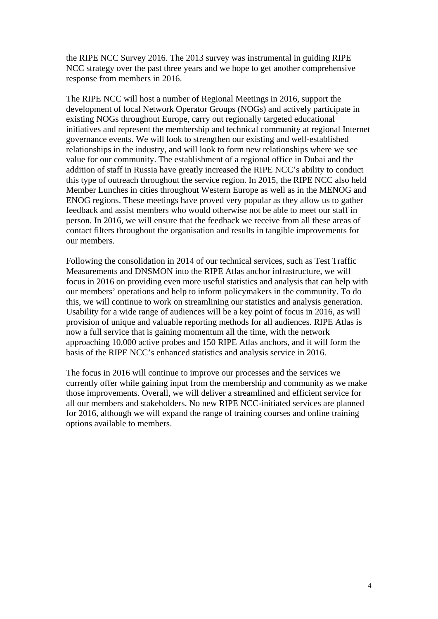the RIPE NCC Survey 2016. The 2013 survey was instrumental in guiding RIPE NCC strategy over the past three years and we hope to get another comprehensive response from members in 2016.

The RIPE NCC will host a number of Regional Meetings in 2016, support the development of local Network Operator Groups (NOGs) and actively participate in existing NOGs throughout Europe, carry out regionally targeted educational initiatives and represent the membership and technical community at regional Internet governance events. We will look to strengthen our existing and well-established relationships in the industry, and will look to form new relationships where we see value for our community. The establishment of a regional office in Dubai and the addition of staff in Russia have greatly increased the RIPE NCC's ability to conduct this type of outreach throughout the service region. In 2015, the RIPE NCC also held Member Lunches in cities throughout Western Europe as well as in the MENOG and ENOG regions. These meetings have proved very popular as they allow us to gather feedback and assist members who would otherwise not be able to meet our staff in person. In 2016, we will ensure that the feedback we receive from all these areas of contact filters throughout the organisation and results in tangible improvements for our members.

Following the consolidation in 2014 of our technical services, such as Test Traffic Measurements and DNSMON into the RIPE Atlas anchor infrastructure, we will focus in 2016 on providing even more useful statistics and analysis that can help with our members' operations and help to inform policymakers in the community. To do this, we will continue to work on streamlining our statistics and analysis generation. Usability for a wide range of audiences will be a key point of focus in 2016, as will provision of unique and valuable reporting methods for all audiences. RIPE Atlas is now a full service that is gaining momentum all the time, with the network approaching 10,000 active probes and 150 RIPE Atlas anchors, and it will form the basis of the RIPE NCC's enhanced statistics and analysis service in 2016.

The focus in 2016 will continue to improve our processes and the services we currently offer while gaining input from the membership and community as we make those improvements. Overall, we will deliver a streamlined and efficient service for all our members and stakeholders. No new RIPE NCC-initiated services are planned for 2016, although we will expand the range of training courses and online training options available to members.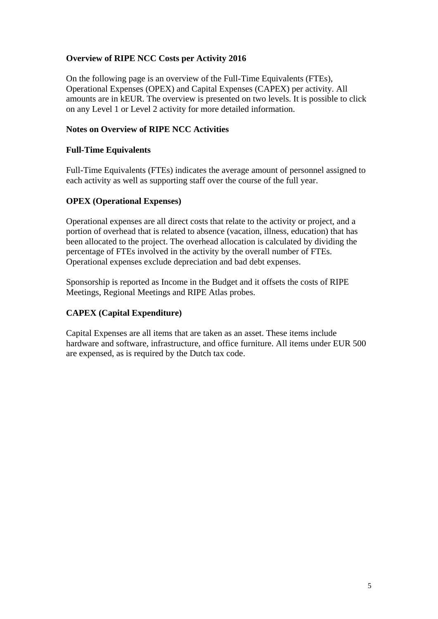# **Overview of RIPE NCC Costs per Activity 2016**

On the following page is an overview of the Full-Time Equivalents (FTEs), Operational Expenses (OPEX) and Capital Expenses (CAPEX) per activity. All amounts are in kEUR. The overview is presented on two levels. It is possible to click on any Level 1 or Level 2 activity for more detailed information.

### **Notes on Overview of RIPE NCC Activities**

### **Full-Time Equivalents**

Full-Time Equivalents (FTEs) indicates the average amount of personnel assigned to each activity as well as supporting staff over the course of the full year.

#### **OPEX (Operational Expenses)**

Operational expenses are all direct costs that relate to the activity or project, and a portion of overhead that is related to absence (vacation, illness, education) that has been allocated to the project. The overhead allocation is calculated by dividing the percentage of FTEs involved in the activity by the overall number of FTEs. Operational expenses exclude depreciation and bad debt expenses.

Sponsorship is reported as Income in the Budget and it offsets the costs of RIPE Meetings, Regional Meetings and RIPE Atlas probes.

# **CAPEX (Capital Expenditure)**

Capital Expenses are all items that are taken as an asset. These items include hardware and software, infrastructure, and office furniture. All items under EUR 500 are expensed, as is required by the Dutch tax code.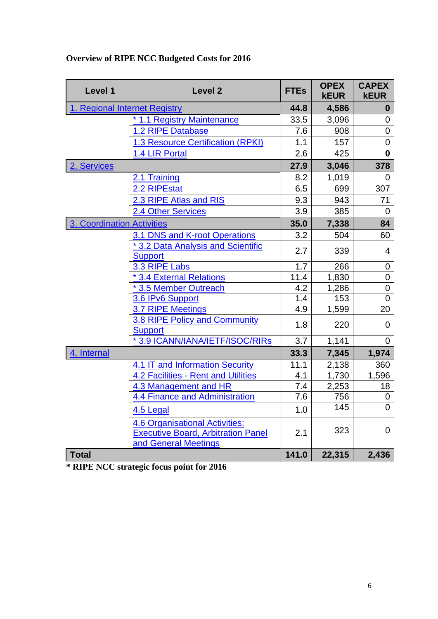| Level 1                       | <b>Level 2</b>                                                                                             | <b>FTEs</b> | <b>OPEX</b><br><b>kEUR</b> | <b>CAPEX</b><br><b>kEUR</b> |
|-------------------------------|------------------------------------------------------------------------------------------------------------|-------------|----------------------------|-----------------------------|
| 1. Regional Internet Registry |                                                                                                            | 44.8        | 4,586                      | $\boldsymbol{0}$            |
|                               | * 1.1 Registry Maintenance                                                                                 | 33.5        | 3,096                      | 0                           |
|                               | 1.2 RIPE Database                                                                                          | 7.6         | 908                        | $\overline{0}$              |
|                               | <b>1.3 Resource Certification (RPKI)</b>                                                                   | 1.1         | 157                        | $\mathbf 0$                 |
|                               | 1.4 LIR Portal                                                                                             | 2.6         | 425                        | $\mathbf{0}$                |
| 2. Services                   |                                                                                                            | 27.9        | 3,046                      | 378                         |
|                               | 2.1 Training                                                                                               | 8.2         | 1,019                      | 0                           |
|                               | 2.2 RIPEstat                                                                                               | 6.5         | 699                        | 307                         |
|                               | 2.3 RIPE Atlas and RIS                                                                                     | 9.3         | 943                        | 71                          |
|                               | <b>2.4 Other Services</b>                                                                                  | 3.9         | 385                        | 0                           |
| 3. Coordination Activities    |                                                                                                            | 35.0        | 7,338                      | 84                          |
|                               | 3.1 DNS and K-root Operations                                                                              | 3.2         | 504                        | 60                          |
|                               | * 3.2 Data Analysis and Scientific                                                                         | 2.7         | 339                        | $\overline{4}$              |
|                               | <b>Support</b>                                                                                             |             |                            |                             |
|                               | 3.3 RIPE Labs                                                                                              | 1.7         | 266                        | $\mathbf 0$                 |
|                               | <b>13.4 External Relations</b>                                                                             | 11.4        | 1,830                      | $\mathbf 0$                 |
|                               | * 3.5 Member Outreach                                                                                      | 4.2<br>1.4  | 1,286<br>153               | $\overline{0}$<br>$\Omega$  |
|                               | 3.6 IPv6 Support<br>3.7 RIPE Meetings                                                                      | 4.9         | 1,599                      | 20                          |
|                               | 3.8 RIPE Policy and Community                                                                              |             |                            |                             |
|                               | <b>Support</b>                                                                                             | 1.8         | 220                        | 0                           |
|                               | *3.9 ICANN/IANA/IETF/ISOC/RIRs                                                                             | 3.7         | 1,141                      | $\overline{0}$              |
| 4. Internal                   |                                                                                                            | 33.3        | 7,345                      | 1,974                       |
|                               | 4.1 IT and Information Security                                                                            | 11.1        | 2,138                      | 360                         |
|                               | <b>4.2 Facilities - Rent and Utilities</b>                                                                 | 4.1         | 1,730                      | 1,596                       |
|                               | 4.3 Management and HR                                                                                      | 7.4         | 2,253                      | 18                          |
|                               | 4.4 Finance and Administration                                                                             | 7.6         | 756                        | 0                           |
|                               | 4.5 Legal                                                                                                  | 1.0         | 145                        | $\overline{0}$              |
|                               | <b>4.6 Organisational Activities:</b><br><b>Executive Board, Arbitration Panel</b><br>and General Meetings | 2.1         | 323                        | 0                           |
| <b>Total</b>                  |                                                                                                            | 141.0       | 22,315                     | 2,436                       |

# **Overview of RIPE NCC Budgeted Costs for 2016**

**\* RIPE NCC strategic focus point for 2016**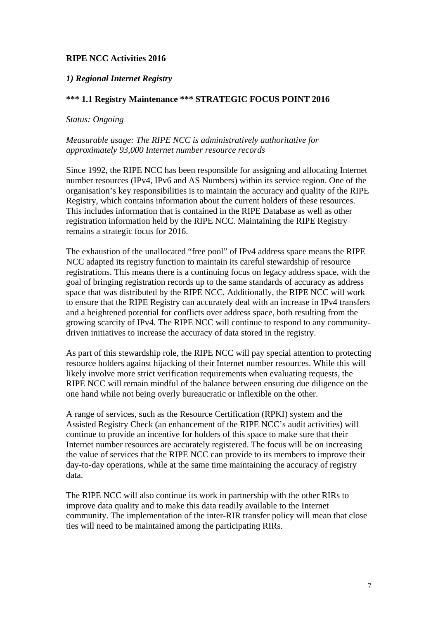# **RIPE NCC Activities 2016**

#### <span id="page-6-0"></span>*1) Regional Internet Registry*

#### <span id="page-6-1"></span>**\*\*\* 1.1 Registry Maintenance \*\*\* STRATEGIC FOCUS POINT 2016**

#### *Status: Ongoing*

#### *Measurable usage: The RIPE NCC is administratively authoritative for approximately 93,000 Internet number resource records*

Since 1992, the RIPE NCC has been responsible for assigning and allocating Internet number resources (IPv4, IPv6 and AS Numbers) within its service region. One of the organisation's key responsibilities is to maintain the accuracy and quality of the RIPE Registry, which contains information about the current holders of these resources. This includes information that is contained in the RIPE Database as well as other registration information held by the RIPE NCC. Maintaining the RIPE Registry remains a strategic focus for 2016.

The exhaustion of the unallocated "free pool" of IPv4 address space means the RIPE NCC adapted its registry function to maintain its careful stewardship of resource registrations. This means there is a continuing focus on legacy address space, with the goal of bringing registration records up to the same standards of accuracy as address space that was distributed by the RIPE NCC. Additionally, the RIPE NCC will work to ensure that the RIPE Registry can accurately deal with an increase in IPv4 transfers and a heightened potential for conflicts over address space, both resulting from the growing scarcity of IPv4. The RIPE NCC will continue to respond to any communitydriven initiatives to increase the accuracy of data stored in the registry.

As part of this stewardship role, the RIPE NCC will pay special attention to protecting resource holders against hijacking of their Internet number resources. While this will likely involve more strict verification requirements when evaluating requests, the RIPE NCC will remain mindful of the balance between ensuring due diligence on the one hand while not being overly bureaucratic or inflexible on the other.

A range of services, such as the Resource Certification (RPKI) system and the Assisted Registry Check (an enhancement of the RIPE NCC's audit activities) will continue to provide an incentive for holders of this space to make sure that their Internet number resources are accurately registered. The focus will be on increasing the value of services that the RIPE NCC can provide to its members to improve their day-to-day operations, while at the same time maintaining the accuracy of registry data.

The RIPE NCC will also continue its work in partnership with the other RIRs to improve data quality and to make this data readily available to the Internet community. The implementation of the inter-RIR transfer policy will mean that close ties will need to be maintained among the participating RIRs.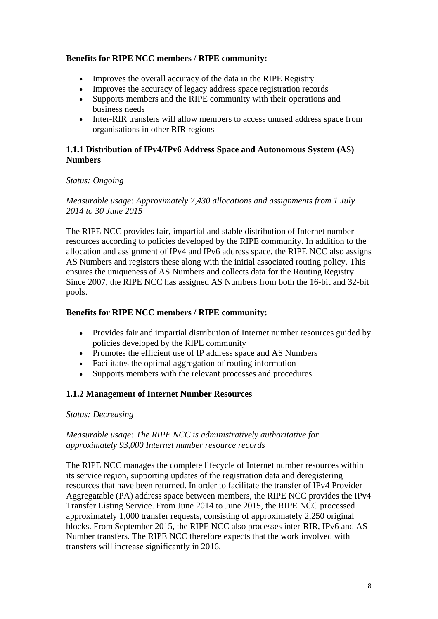# **Benefits for RIPE NCC members / RIPE community:**

- Improves the overall accuracy of the data in the RIPE Registry
- Improves the accuracy of legacy address space registration records
- Supports members and the RIPE community with their operations and business needs
- Inter-RIR transfers will allow members to access unused address space from organisations in other RIR regions

### **1.1.1 Distribution of IPv4/IPv6 Address Space and Autonomous System (AS) Numbers**

#### *Status: Ongoing*

*Measurable usage: Approximately 7,430 allocations and assignments from 1 July 2014 to 30 June 2015*

The RIPE NCC provides fair, impartial and stable distribution of Internet number resources according to policies developed by the RIPE community. In addition to the allocation and assignment of IPv4 and IPv6 address space, the RIPE NCC also assigns AS Numbers and registers these along with the initial associated routing policy. This ensures the uniqueness of AS Numbers and collects data for the Routing Registry. Since 2007, the RIPE NCC has assigned AS Numbers from both the 16-bit and 32-bit pools.

### **Benefits for RIPE NCC members / RIPE community:**

- Provides fair and impartial distribution of Internet number resources guided by policies developed by the RIPE community
- Promotes the efficient use of IP address space and AS Numbers
- Facilitates the optimal aggregation of routing information
- Supports members with the relevant processes and procedures

# **1.1.2 Management of Internet Number Resources**

#### *Status: Decreasing*

#### *Measurable usage: The RIPE NCC is administratively authoritative for approximately 93,000 Internet number resource records*

The RIPE NCC manages the complete lifecycle of Internet number resources within its service region, supporting updates of the registration data and deregistering resources that have been returned. In order to facilitate the transfer of IPv4 Provider Aggregatable (PA) address space between members, the RIPE NCC provides the IPv4 Transfer Listing Service. From June 2014 to June 2015, the RIPE NCC processed approximately 1,000 transfer requests, consisting of approximately 2,250 original blocks. From September 2015, the RIPE NCC also processes inter-RIR, IPv6 and AS Number transfers. The RIPE NCC therefore expects that the work involved with transfers will increase significantly in 2016.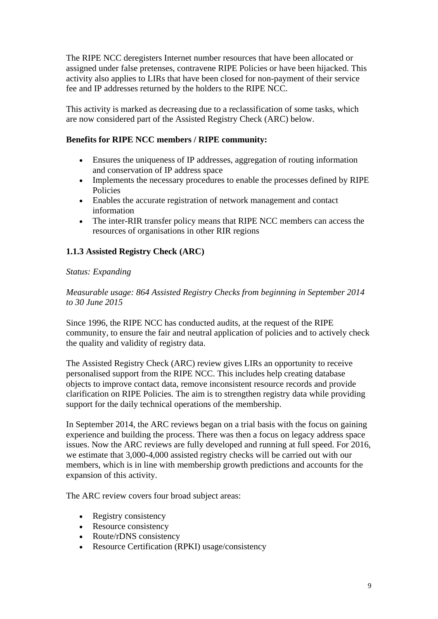The RIPE NCC deregisters Internet number resources that have been allocated or assigned under false pretenses, contravene RIPE Policies or have been hijacked. This activity also applies to LIRs that have been closed for non-payment of their service fee and IP addresses returned by the holders to the RIPE NCC.

This activity is marked as decreasing due to a reclassification of some tasks, which are now considered part of the Assisted Registry Check (ARC) below.

### **Benefits for RIPE NCC members / RIPE community:**

- Ensures the uniqueness of IP addresses, aggregation of routing information and conservation of IP address space
- Implements the necessary procedures to enable the processes defined by RIPE Policies
- Enables the accurate registration of network management and contact information
- The inter-RIR transfer policy means that RIPE NCC members can access the resources of organisations in other RIR regions

# **1.1.3 Assisted Registry Check (ARC)**

# *Status: Expanding*

*Measurable usage: 864 Assisted Registry Checks from beginning in September 2014 to 30 June 2015*

Since 1996, the RIPE NCC has conducted audits, at the request of the RIPE community, to ensure the fair and neutral application of policies and to actively check the quality and validity of registry data.

The Assisted Registry Check (ARC) review gives LIRs an opportunity to receive personalised support from the RIPE NCC. This includes help creating database objects to improve contact data, remove inconsistent resource records and provide clarification on RIPE Policies. The aim is to strengthen registry data while providing support for the daily technical operations of the membership.

In September 2014, the ARC reviews began on a trial basis with the focus on gaining experience and building the process. There was then a focus on legacy address space issues. Now the ARC reviews are fully developed and running at full speed. For 2016, we estimate that 3,000-4,000 assisted registry checks will be carried out with our members, which is in line with membership growth predictions and accounts for the expansion of this activity.

The ARC review covers four broad subject areas:

- Registry consistency
- Resource consistency
- Route/rDNS consistency
- Resource Certification (RPKI) usage/consistency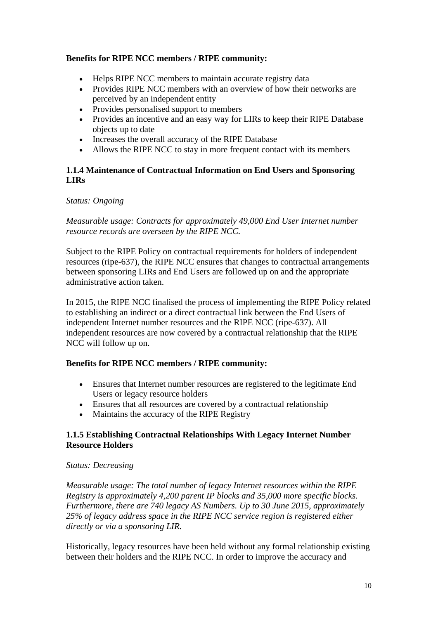# **Benefits for RIPE NCC members / RIPE community:**

- Helps RIPE NCC members to maintain accurate registry data
- Provides RIPE NCC members with an overview of how their networks are perceived by an independent entity
- Provides personalised support to members
- Provides an incentive and an easy way for LIRs to keep their RIPE Database objects up to date
- Increases the overall accuracy of the RIPE Database
- Allows the RIPE NCC to stay in more frequent contact with its members

### **1.1.4 Maintenance of Contractual Information on End Users and Sponsoring LIRs**

#### *Status: Ongoing*

### *Measurable usage: Contracts for approximately 49,000 End User Internet number resource records are overseen by the RIPE NCC.*

Subject to the RIPE Policy on contractual requirements for holders of independent resources (ripe-637), the RIPE NCC ensures that changes to contractual arrangements between sponsoring LIRs and End Users are followed up on and the appropriate administrative action taken.

In 2015, the RIPE NCC finalised the process of implementing the RIPE Policy related to establishing an indirect or a direct contractual link between the End Users of independent Internet number resources and the RIPE NCC (ripe-637). All independent resources are now covered by a contractual relationship that the RIPE NCC will follow up on.

# **Benefits for RIPE NCC members / RIPE community:**

- Ensures that Internet number resources are registered to the legitimate End Users or legacy resource holders
- Ensures that all resources are covered by a contractual relationship
- Maintains the accuracy of the RIPE Registry

#### **1.1.5 Establishing Contractual Relationships With Legacy Internet Number Resource Holders**

#### *Status: Decreasing*

*Measurable usage: The total number of legacy Internet resources within the RIPE Registry is approximately 4,200 parent IP blocks and 35,000 more specific blocks. Furthermore, there are 740 legacy AS Numbers. Up to 30 June 2015, approximately 25% of legacy address space in the RIPE NCC service region is registered either directly or via a sponsoring LIR.*

Historically, legacy resources have been held without any formal relationship existing between their holders and the RIPE NCC. In order to improve the accuracy and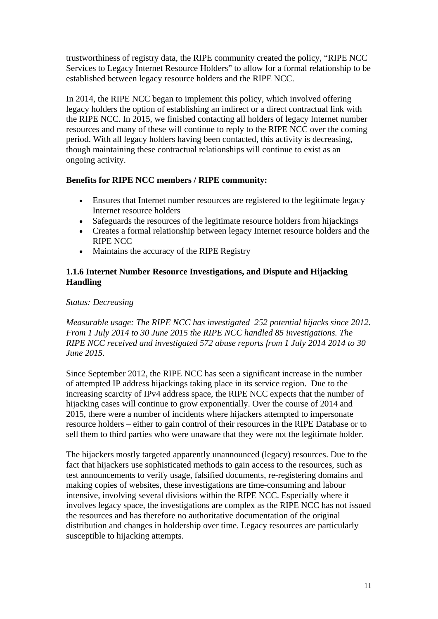trustworthiness of registry data, the RIPE community created the policy, "RIPE NCC Services to Legacy Internet Resource Holders" to allow for a formal relationship to be established between legacy resource holders and the RIPE NCC.

In 2014, the RIPE NCC began to implement this policy, which involved offering legacy holders the option of establishing an indirect or a direct contractual link with the RIPE NCC. In 2015, we finished contacting all holders of legacy Internet number resources and many of these will continue to reply to the RIPE NCC over the coming period. With all legacy holders having been contacted, this activity is decreasing, though maintaining these contractual relationships will continue to exist as an ongoing activity.

# **Benefits for RIPE NCC members / RIPE community:**

- Ensures that Internet number resources are registered to the legitimate legacy Internet resource holders
- Safeguards the resources of the legitimate resource holders from hijackings
- Creates a formal relationship between legacy Internet resource holders and the RIPE NCC
- Maintains the accuracy of the RIPE Registry

# **1.1.6 Internet Number Resource Investigations, and Dispute and Hijacking Handling**

# *Status: Decreasing*

*Measurable usage: The RIPE NCC has investigated 252 potential hijacks since 2012. From 1 July 2014 to 30 June 2015 the RIPE NCC handled 85 investigations. The RIPE NCC received and investigated 572 abuse reports from 1 July 2014 2014 to 30 June 2015.*

Since September 2012, the RIPE NCC has seen a significant increase in the number of attempted IP address hijackings taking place in its service region. Due to the increasing scarcity of IPv4 address space, the RIPE NCC expects that the number of hijacking cases will continue to grow exponentially. Over the course of 2014 and 2015, there were a number of incidents where hijackers attempted to impersonate resource holders – either to gain control of their resources in the RIPE Database or to sell them to third parties who were unaware that they were not the legitimate holder.

The hijackers mostly targeted apparently unannounced (legacy) resources. Due to the fact that hijackers use sophisticated methods to gain access to the resources, such as test announcements to verify usage, falsified documents, re-registering domains and making copies of websites, these investigations are time-consuming and labour intensive, involving several divisions within the RIPE NCC. Especially where it involves legacy space, the investigations are complex as the RIPE NCC has not issued the resources and has therefore no authoritative documentation of the original distribution and changes in holdership over time. Legacy resources are particularly susceptible to hijacking attempts.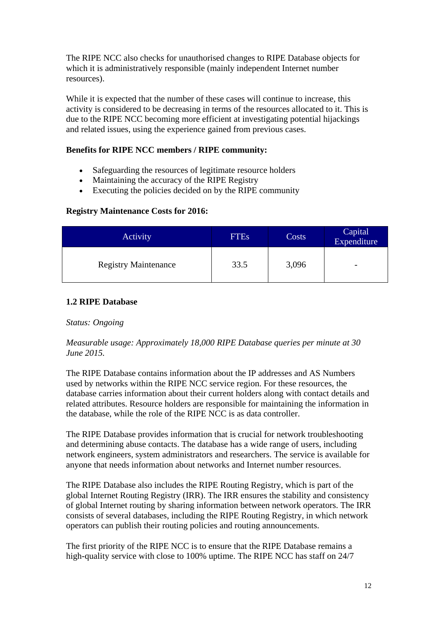The RIPE NCC also checks for unauthorised changes to RIPE Database objects for which it is administratively responsible (mainly independent Internet number resources).

While it is expected that the number of these cases will continue to increase, this activity is considered to be decreasing in terms of the resources allocated to it. This is due to the RIPE NCC becoming more efficient at investigating potential hijackings and related issues, using the experience gained from previous cases.

# **Benefits for RIPE NCC members / RIPE community:**

- Safeguarding the resources of legitimate resource holders
- Maintaining the accuracy of the RIPE Registry
- Executing the policies decided on by the RIPE community

#### **Registry Maintenance Costs for 2016:**

| Activity                    | <b>FTEs</b> | Costs | Capital<br>Expenditure   |
|-----------------------------|-------------|-------|--------------------------|
| <b>Registry Maintenance</b> | 33.5        | 3,096 | $\overline{\phantom{0}}$ |

#### <span id="page-11-0"></span>**1.2 RIPE Database**

#### *Status: Ongoing*

#### *Measurable usage: Approximately 18,000 RIPE Database queries per minute at 30 June 2015.*

The RIPE Database contains information about the IP addresses and AS Numbers used by networks within the RIPE NCC service region. For these resources, the database carries information about their current holders along with contact details and related attributes. Resource holders are responsible for maintaining the information in the database, while the role of the RIPE NCC is as data controller.

The RIPE Database provides information that is crucial for network troubleshooting and determining abuse contacts. The database has a wide range of users, including network engineers, system administrators and researchers. The service is available for anyone that needs information about networks and Internet number resources.

The RIPE Database also includes the RIPE Routing Registry, which is part of the global Internet Routing Registry (IRR). The IRR ensures the stability and consistency of global Internet routing by sharing information between network operators. The IRR consists of several databases, including the RIPE Routing Registry, in which network operators can publish their routing policies and routing announcements.

The first priority of the RIPE NCC is to ensure that the RIPE Database remains a high-quality service with close to 100% uptime. The RIPE NCC has staff on 24/7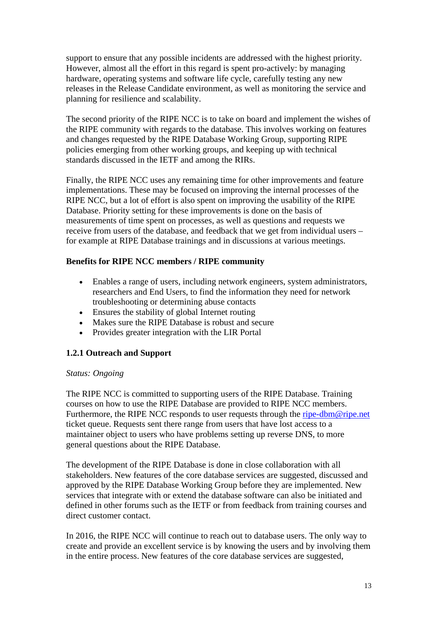support to ensure that any possible incidents are addressed with the highest priority. However, almost all the effort in this regard is spent pro-actively: by managing hardware, operating systems and software life cycle, carefully testing any new releases in the Release Candidate environment, as well as monitoring the service and planning for resilience and scalability.

The second priority of the RIPE NCC is to take on board and implement the wishes of the RIPE community with regards to the database. This involves working on features and changes requested by the RIPE Database Working Group, supporting RIPE policies emerging from other working groups, and keeping up with technical standards discussed in the IETF and among the RIRs.

Finally, the RIPE NCC uses any remaining time for other improvements and feature implementations. These may be focused on improving the internal processes of the RIPE NCC, but a lot of effort is also spent on improving the usability of the RIPE Database. Priority setting for these improvements is done on the basis of measurements of time spent on processes, as well as questions and requests we receive from users of the database, and feedback that we get from individual users – for example at RIPE Database trainings and in discussions at various meetings.

# **Benefits for RIPE NCC members / RIPE community**

- Enables a range of users, including network engineers, system administrators, researchers and End Users, to find the information they need for network troubleshooting or determining abuse contacts
- Ensures the stability of global Internet routing
- Makes sure the RIPE Database is robust and secure
- Provides greater integration with the LIR Portal

# **1.2.1 Outreach and Support**

# *Status: Ongoing*

The RIPE NCC is committed to supporting users of the RIPE Database. Training courses on how to use the RIPE Database are provided to RIPE NCC members. Furthermore, the RIPE NCC responds to user requests through the [ripe-dbm@ripe.net](mailto:ripe-dbm@ripe.net) ticket queue. Requests sent there range from users that have lost access to a maintainer object to users who have problems setting up reverse DNS, to more general questions about the RIPE Database.

The development of the RIPE Database is done in close collaboration with all stakeholders. New features of the core database services are suggested, discussed and approved by the RIPE Database Working Group before they are implemented. New services that integrate with or extend the database software can also be initiated and defined in other forums such as the IETF or from feedback from training courses and direct customer contact.

In 2016, the RIPE NCC will continue to reach out to database users. The only way to create and provide an excellent service is by knowing the users and by involving them in the entire process. New features of the core database services are suggested,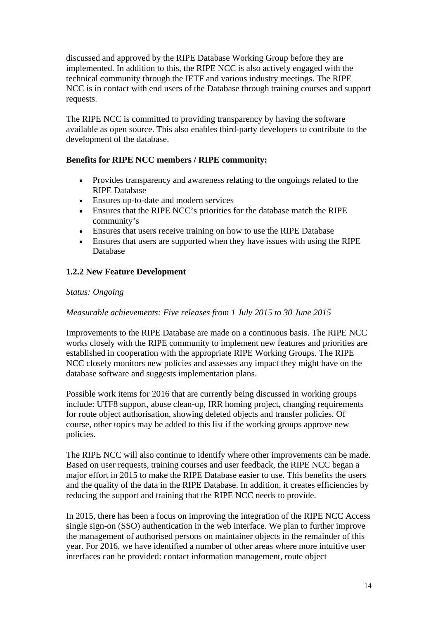discussed and approved by the RIPE Database Working Group before they are implemented. In addition to this, the RIPE NCC is also actively engaged with the technical community through the IETF and various industry meetings. The RIPE NCC is in contact with end users of the Database through training courses and support requests.

The RIPE NCC is committed to providing transparency by having the software available as open source. This also enables third-party developers to contribute to the development of the database.

# **Benefits for RIPE NCC members / RIPE community:**

- Provides transparency and awareness relating to the ongoings related to the RIPE Database
- Ensures up-to-date and modern services
- Ensures that the RIPE NCC's priorities for the database match the RIPE community's
- Ensures that users receive training on how to use the RIPE Database
- Ensures that users are supported when they have issues with using the RIPE Database

# **1.2.2 New Feature Development**

# *Status: Ongoing*

# *Measurable achievements: Five releases from 1 July 2015 to 30 June 2015*

Improvements to the RIPE Database are made on a continuous basis. The RIPE NCC works closely with the RIPE community to implement new features and priorities are established in cooperation with the appropriate RIPE Working Groups. The RIPE NCC closely monitors new policies and assesses any impact they might have on the database software and suggests implementation plans.

Possible work items for 2016 that are currently being discussed in working groups include: UTF8 support, abuse clean-up, IRR homing project, changing requirements for route object authorisation, showing deleted objects and transfer policies. Of course, other topics may be added to this list if the working groups approve new policies.

The RIPE NCC will also continue to identify where other improvements can be made. Based on user requests, training courses and user feedback, the RIPE NCC began a major effort in 2015 to make the RIPE Database easier to use. This benefits the users and the quality of the data in the RIPE Database. In addition, it creates efficiencies by reducing the support and training that the RIPE NCC needs to provide.

In 2015, there has been a focus on improving the integration of the RIPE NCC Access single sign-on (SSO) authentication in the web interface. We plan to further improve the management of authorised persons on maintainer objects in the remainder of this year. For 2016, we have identified a number of other areas where more intuitive user interfaces can be provided: contact information management, route object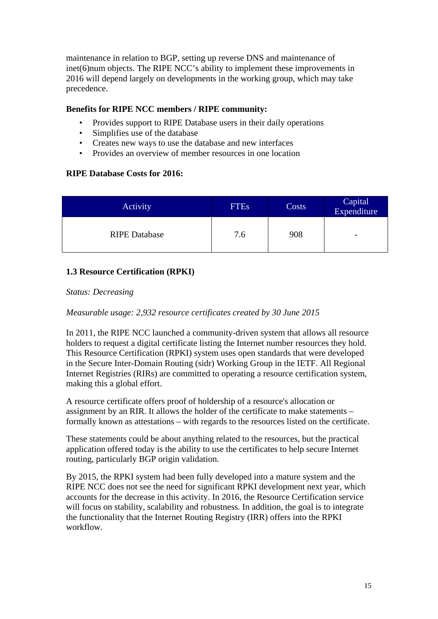maintenance in relation to BGP, setting up reverse DNS and maintenance of inet(6)num objects. The RIPE NCC's ability to implement these improvements in 2016 will depend largely on developments in the working group, which may take precedence.

### **Benefits for RIPE NCC members / RIPE community:**

- Provides support to RIPE Database users in their daily operations
- Simplifies use of the database
- Creates new ways to use the database and new interfaces
- Provides an overview of member resources in one location

# **RIPE Database Costs for 2016:**

| Activity             | <b>FTEs</b> | Costs | Capital<br>Expenditure   |
|----------------------|-------------|-------|--------------------------|
| <b>RIPE Database</b> | 7.6         | 908   | $\overline{\phantom{0}}$ |

# <span id="page-14-0"></span>**1.3 Resource Certification (RPKI)**

#### *Status: Decreasing*

# *Measurable usage: 2,932 resource certificates created by 30 June 2015*

In 2011, the RIPE NCC launched a community-driven system that allows all resource holders to request a digital certificate listing the Internet number resources they hold. This Resource Certification (RPKI) system uses open standards that were developed in the Secure Inter-Domain Routing (sidr) Working Group in the IETF. All Regional Internet Registries (RIRs) are committed to operating a resource certification system, making this a global effort.

A resource certificate offers proof of holdership of a resource's allocation or assignment by an RIR. It allows the holder of the certificate to make statements – formally known as attestations – with regards to the resources listed on the certificate.

These statements could be about anything related to the resources, but the practical application offered today is the ability to use the certificates to help secure Internet routing, particularly BGP origin validation.

By 2015, the RPKI system had been fully developed into a mature system and the RIPE NCC does not see the need for significant RPKI development next year, which accounts for the decrease in this activity. In 2016, the Resource Certification service will focus on stability, scalability and robustness. In addition, the goal is to integrate the functionality that the Internet Routing Registry (IRR) offers into the RPKI workflow.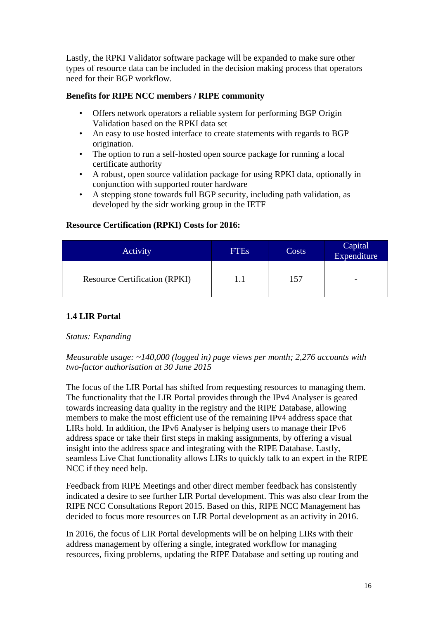Lastly, the RPKI Validator software package will be expanded to make sure other types of resource data can be included in the decision making process that operators need for their BGP workflow.

### **Benefits for RIPE NCC members / RIPE community**

- Offers network operators a reliable system for performing BGP Origin Validation based on the RPKI data set
- An easy to use hosted interface to create statements with regards to BGP origination.
- The option to run a self-hosted open source package for running a local certificate authority
- A robust, open source validation package for using RPKI data, optionally in conjunction with supported router hardware
- A stepping stone towards full BGP security, including path validation, as developed by the sidr working group in the IETF

#### **Resource Certification (RPKI) Costs for 2016:**

| Activity                             | <b>FTEs</b> | Costs | Capital<br>Expenditure   |
|--------------------------------------|-------------|-------|--------------------------|
| <b>Resource Certification (RPKI)</b> |             | 157   | $\overline{\phantom{0}}$ |

# <span id="page-15-0"></span>**1.4 LIR Portal**

# *Status: Expanding*

*Measurable usage: ~140,000 (logged in) page views per month; 2,276 accounts with two-factor authorisation at 30 June 2015*

The focus of the LIR Portal has shifted from requesting resources to managing them. The functionality that the LIR Portal provides through the IPv4 Analyser is geared towards increasing data quality in the registry and the RIPE Database, allowing members to make the most efficient use of the remaining IPv4 address space that LIRs hold. In addition, the IPv6 Analyser is helping users to manage their IPv6 address space or take their first steps in making assignments, by offering a visual insight into the address space and integrating with the RIPE Database. Lastly, seamless Live Chat functionality allows LIRs to quickly talk to an expert in the RIPE NCC if they need help.

Feedback from RIPE Meetings and other direct member feedback has consistently indicated a desire to see further LIR Portal development. This was also clear from the RIPE NCC Consultations Report 2015. Based on this, RIPE NCC Management has decided to focus more resources on LIR Portal development as an activity in 2016.

In 2016, the focus of LIR Portal developments will be on helping LIRs with their address management by offering a single, integrated workflow for managing resources, fixing problems, updating the RIPE Database and setting up routing and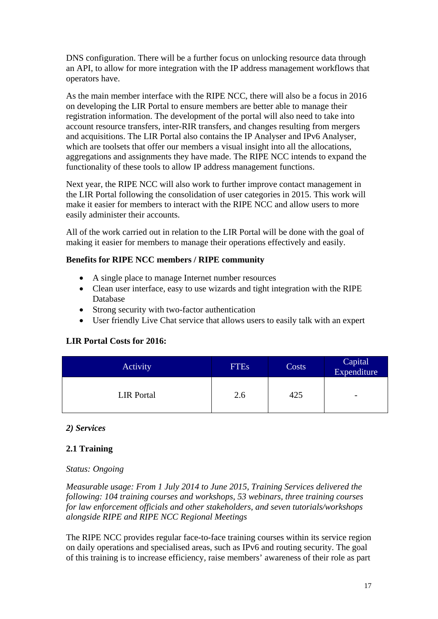DNS configuration. There will be a further focus on unlocking resource data through an API, to allow for more integration with the IP address management workflows that operators have.

As the main member interface with the RIPE NCC, there will also be a focus in 2016 on developing the LIR Portal to ensure members are better able to manage their registration information. The development of the portal will also need to take into account resource transfers, inter-RIR transfers, and changes resulting from mergers and acquisitions. The LIR Portal also contains the IP Analyser and IPv6 Analyser, which are toolsets that offer our members a visual insight into all the allocations, aggregations and assignments they have made. The RIPE NCC intends to expand the functionality of these tools to allow IP address management functions.

Next year, the RIPE NCC will also work to further improve contact management in the LIR Portal following the consolidation of user categories in 2015. This work will make it easier for members to interact with the RIPE NCC and allow users to more easily administer their accounts.

All of the work carried out in relation to the LIR Portal will be done with the goal of making it easier for members to manage their operations effectively and easily.

#### **Benefits for RIPE NCC members / RIPE community**

- A single place to manage Internet number resources
- Clean user interface, easy to use wizards and tight integration with the RIPE Database
- Strong security with two-factor authentication
- User friendly Live Chat service that allows users to easily talk with an expert

# **LIR Portal Costs for 2016:**

| Activity          | <b>FTEs</b> | Costs | Capital<br>Expenditure   |
|-------------------|-------------|-------|--------------------------|
| <b>LIR</b> Portal | 2.6         | 425   | $\overline{\phantom{a}}$ |

# <span id="page-16-0"></span>*2) Services*

# <span id="page-16-1"></span>**2.1 Training**

#### *Status: Ongoing*

*Measurable usage: From 1 July 2014 to June 2015, Training Services delivered the following: 104 training courses and workshops, 53 webinars, three training courses for law enforcement officials and other stakeholders, and seven tutorials/workshops alongside RIPE and RIPE NCC Regional Meetings*

The RIPE NCC provides regular face-to-face training courses within its service region on daily operations and specialised areas, such as IPv6 and routing security. The goal of this training is to increase efficiency, raise members' awareness of their role as part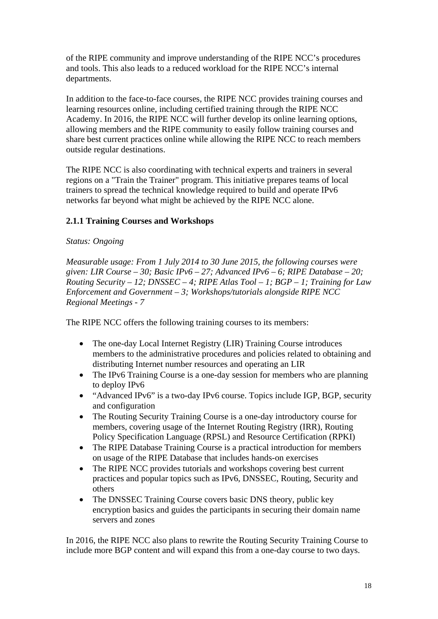of the RIPE community and improve understanding of the RIPE NCC's procedures and tools. This also leads to a reduced workload for the RIPE NCC's internal departments.

In addition to the face-to-face courses, the RIPE NCC provides training courses and learning resources online, including certified training through the RIPE NCC Academy. In 2016, the RIPE NCC will further develop its online learning options, allowing members and the RIPE community to easily follow training courses and share best current practices online while allowing the RIPE NCC to reach members outside regular destinations.

The RIPE NCC is also coordinating with technical experts and trainers in several regions on a "Train the Trainer" program. This initiative prepares teams of local trainers to spread the technical knowledge required to build and operate IPv6 networks far beyond what might be achieved by the RIPE NCC alone.

# **2.1.1 Training Courses and Workshops**

#### *Status: Ongoing*

*Measurable usage: From 1 July 2014 to 30 June 2015, the following courses were given: LIR Course – 30; Basic IPv6 – 27; Advanced IPv6 – 6; RIPE Database – 20; Routing Security – 12; DNSSEC – 4; RIPE Atlas Tool – 1; BGP – 1; Training for Law Enforcement and Government – 3; Workshops/tutorials alongside RIPE NCC Regional Meetings - 7*

The RIPE NCC offers the following training courses to its members:

- The one-day Local Internet Registry (LIR) Training Course introduces members to the administrative procedures and policies related to obtaining and distributing Internet number resources and operating an LIR
- The IPv6 Training Course is a one-day session for members who are planning to deploy IPv6
- "Advanced IPv6" is a two-day IPv6 course. Topics include IGP, BGP, security and configuration
- The Routing Security Training Course is a one-day introductory course for members, covering usage of the Internet Routing Registry (IRR), Routing Policy Specification Language (RPSL) and Resource Certification (RPKI)
- The RIPE Database Training Course is a practical introduction for members on usage of the RIPE Database that includes hands-on exercises
- The RIPE NCC provides tutorials and workshops covering best current practices and popular topics such as IPv6, DNSSEC, Routing, Security and others
- The DNSSEC Training Course covers basic DNS theory, public key encryption basics and guides the participants in securing their domain name servers and zones

In 2016, the RIPE NCC also plans to rewrite the Routing Security Training Course to include more BGP content and will expand this from a one-day course to two days.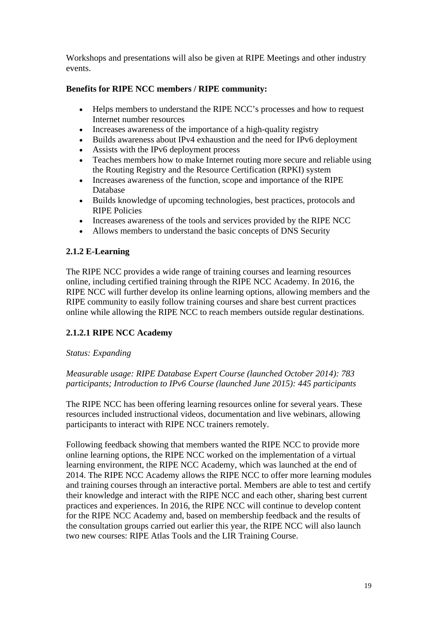Workshops and presentations will also be given at RIPE Meetings and other industry events.

# **Benefits for RIPE NCC members / RIPE community:**

- Helps members to understand the RIPE NCC's processes and how to request Internet number resources
- Increases awareness of the importance of a high-quality registry
- Builds awareness about IPv4 exhaustion and the need for IPv6 deployment
- Assists with the IPv6 deployment process
- Teaches members how to make Internet routing more secure and reliable using the Routing Registry and the Resource Certification (RPKI) system
- Increases awareness of the function, scope and importance of the RIPE Database
- Builds knowledge of upcoming technologies, best practices, protocols and RIPE Policies
- Increases awareness of the tools and services provided by the RIPE NCC
- Allows members to understand the basic concepts of DNS Security

# **2.1.2 E-Learning**

The RIPE NCC provides a wide range of training courses and learning resources online, including certified training through the RIPE NCC Academy. In 2016, the RIPE NCC will further develop its online learning options, allowing members and the RIPE community to easily follow training courses and share best current practices online while allowing the RIPE NCC to reach members outside regular destinations.

# **2.1.2.1 RIPE NCC Academy**

# *Status: Expanding*

# *Measurable usage: RIPE Database Expert Course (launched October 2014): 783 participants; Introduction to IPv6 Course (launched June 2015): 445 participants*

The RIPE NCC has been offering learning resources online for several years. These resources included instructional videos, documentation and live webinars, allowing participants to interact with RIPE NCC trainers remotely.

Following feedback showing that members wanted the RIPE NCC to provide more online learning options, the RIPE NCC worked on the implementation of a virtual learning environment, the RIPE NCC Academy, which was launched at the end of 2014. The RIPE NCC Academy allows the RIPE NCC to offer more learning modules and training courses through an interactive portal. Members are able to test and certify their knowledge and interact with the RIPE NCC and each other, sharing best current practices and experiences. In 2016, the RIPE NCC will continue to develop content for the RIPE NCC Academy and, based on membership feedback and the results of the consultation groups carried out earlier this year, the RIPE NCC will also launch two new courses: RIPE Atlas Tools and the LIR Training Course.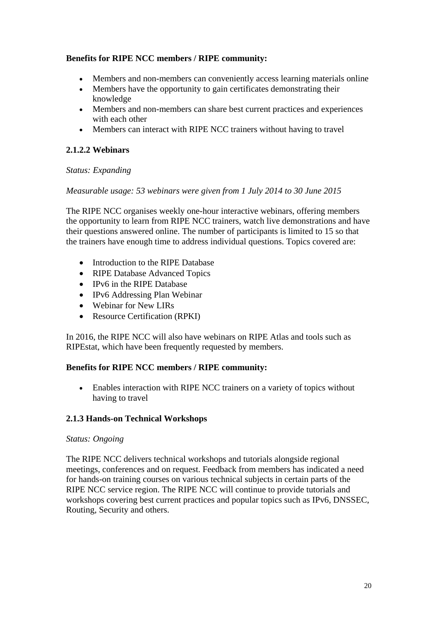# **Benefits for RIPE NCC members / RIPE community:**

- Members and non-members can conveniently access learning materials online
- Members have the opportunity to gain certificates demonstrating their knowledge
- Members and non-members can share best current practices and experiences with each other
- Members can interact with RIPE NCC trainers without having to travel

# **2.1.2.2 Webinars**

# *Status: Expanding*

#### *Measurable usage: 53 webinars were given from 1 July 2014 to 30 June 2015*

The RIPE NCC organises weekly one-hour interactive webinars, offering members the opportunity to learn from RIPE NCC trainers, watch live demonstrations and have their questions answered online. The number of participants is limited to 15 so that the trainers have enough time to address individual questions. Topics covered are:

- Introduction to the RIPE Database
- RIPE Database Advanced Topics
- IPv6 in the RIPE Database
- IPv6 Addressing Plan Webinar
- Webinar for New LIRs
- Resource Certification (RPKI)

In 2016, the RIPE NCC will also have webinars on RIPE Atlas and tools such as RIPEstat, which have been frequently requested by members.

# **Benefits for RIPE NCC members / RIPE community:**

• Enables interaction with RIPE NCC trainers on a variety of topics without having to travel

# **2.1.3 Hands-on Technical Workshops**

#### *Status: Ongoing*

The RIPE NCC delivers technical workshops and tutorials alongside regional meetings, conferences and on request. Feedback from members has indicated a need for hands-on training courses on various technical subjects in certain parts of the RIPE NCC service region. The RIPE NCC will continue to provide tutorials and workshops covering best current practices and popular topics such as IPv6, DNSSEC, Routing, Security and others.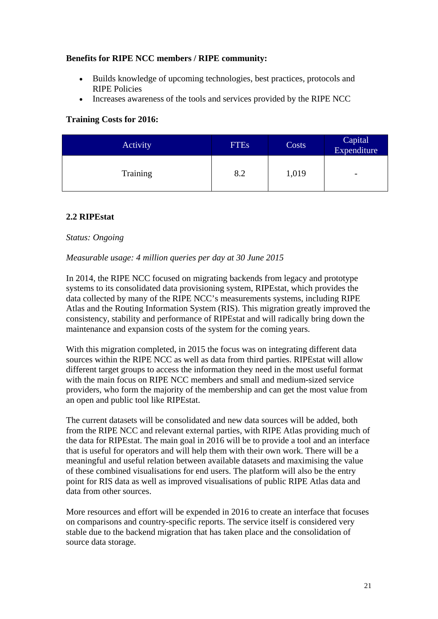# **Benefits for RIPE NCC members / RIPE community:**

- Builds knowledge of upcoming technologies, best practices, protocols and RIPE Policies
- Increases awareness of the tools and services provided by the RIPE NCC

# **Training Costs for 2016:**

| Activity | <b>FTEs</b> | Costs | Capital<br>Expenditure   |
|----------|-------------|-------|--------------------------|
| Training | 8.2         | 1,019 | $\overline{\phantom{a}}$ |

# <span id="page-20-0"></span>**2.2 RIPEstat**

# *Status: Ongoing*

#### *Measurable usage: 4 million queries per day at 30 June 2015*

In 2014, the RIPE NCC focused on migrating backends from legacy and prototype systems to its consolidated data provisioning system, RIPEstat, which provides the data collected by many of the RIPE NCC's measurements systems, including RIPE Atlas and the Routing Information System (RIS). This migration greatly improved the consistency, stability and performance of RIPEstat and will radically bring down the maintenance and expansion costs of the system for the coming years.

With this migration completed, in 2015 the focus was on integrating different data sources within the RIPE NCC as well as data from third parties. RIPEstat will allow different target groups to access the information they need in the most useful format with the main focus on RIPE NCC members and small and medium-sized service providers, who form the majority of the membership and can get the most value from an open and public tool like RIPEstat.

The current datasets will be consolidated and new data sources will be added, both from the RIPE NCC and relevant external parties, with RIPE Atlas providing much of the data for RIPEstat. The main goal in 2016 will be to provide a tool and an interface that is useful for operators and will help them with their own work. There will be a meaningful and useful relation between available datasets and maximising the value of these combined visualisations for end users. The platform will also be the entry point for RIS data as well as improved visualisations of public RIPE Atlas data and data from other sources.

More resources and effort will be expended in 2016 to create an interface that focuses on comparisons and country-specific reports. The service itself is considered very stable due to the backend migration that has taken place and the consolidation of source data storage.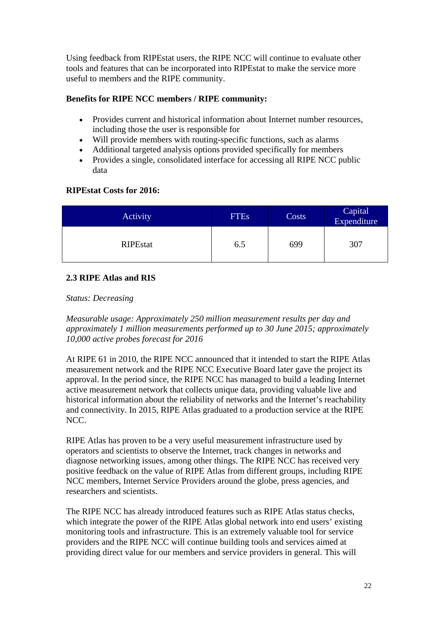Using feedback from RIPEstat users, the RIPE NCC will continue to evaluate other tools and features that can be incorporated into RIPEstat to make the service more useful to members and the RIPE community.

# **Benefits for RIPE NCC members / RIPE community:**

- Provides current and historical information about Internet number resources, including those the user is responsible for
- Will provide members with routing-specific functions, such as alarms
- Additional targeted analysis options provided specifically for members
- Provides a single, consolidated interface for accessing all RIPE NCC public data

# **RIPEstat Costs for 2016:**

| Activity        | <b>FTEs</b> | Costs | Capital<br>Expenditure |
|-----------------|-------------|-------|------------------------|
| <b>RIPEstat</b> | 6.5         | 699   | 307                    |

# <span id="page-21-0"></span>**2.3 RIPE Atlas and RIS**

# *Status: Decreasing*

*Measurable usage: Approximately 250 million measurement results per day and approximately 1 million measurements performed up to 30 June 2015; approximately 10,000 active probes forecast for 2016*

At RIPE 61 in 2010, the RIPE NCC announced that it intended to start the RIPE Atlas measurement network and the RIPE NCC Executive Board later gave the project its approval. In the period since, the RIPE NCC has managed to build a leading Internet active measurement network that collects unique data, providing valuable live and historical information about the reliability of networks and the Internet's reachability and connectivity. In 2015, RIPE Atlas graduated to a production service at the RIPE NCC.

RIPE Atlas has proven to be a very useful measurement infrastructure used by operators and scientists to observe the Internet, track changes in networks and diagnose networking issues, among other things. The RIPE NCC has received very positive feedback on the value of RIPE Atlas from different groups, including RIPE NCC members, Internet Service Providers around the globe, press agencies, and researchers and scientists.

The RIPE NCC has already introduced features such as RIPE Atlas status checks, which integrate the power of the RIPE Atlas global network into end users' existing monitoring tools and infrastructure. This is an extremely valuable tool for service providers and the RIPE NCC will continue building tools and services aimed at providing direct value for our members and service providers in general. This will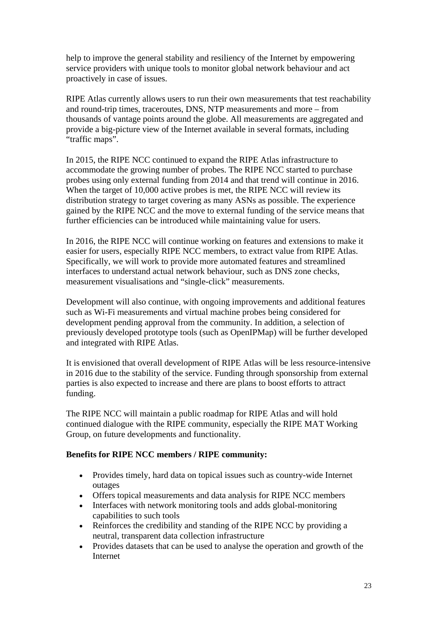help to improve the general stability and resiliency of the Internet by empowering service providers with unique tools to monitor global network behaviour and act proactively in case of issues.

RIPE Atlas currently allows users to run their own measurements that test reachability and round-trip times, traceroutes, DNS, NTP measurements and more – from thousands of vantage points around the globe. All measurements are aggregated and provide a big-picture view of the Internet available in several formats, including "traffic maps".

In 2015, the RIPE NCC continued to expand the RIPE Atlas infrastructure to accommodate the growing number of probes. The RIPE NCC started to purchase probes using only external funding from 2014 and that trend will continue in 2016. When the target of 10,000 active probes is met, the RIPE NCC will review its distribution strategy to target covering as many ASNs as possible. The experience gained by the RIPE NCC and the move to external funding of the service means that further efficiencies can be introduced while maintaining value for users.

In 2016, the RIPE NCC will continue working on features and extensions to make it easier for users, especially RIPE NCC members, to extract value from RIPE Atlas. Specifically, we will work to provide more automated features and streamlined interfaces to understand actual network behaviour, such as DNS zone checks, measurement visualisations and "single-click" measurements.

Development will also continue, with ongoing improvements and additional features such as Wi-Fi measurements and virtual machine probes being considered for development pending approval from the community. In addition, a selection of previously developed prototype tools (such as OpenIPMap) will be further developed and integrated with RIPE Atlas.

It is envisioned that overall development of RIPE Atlas will be less resource-intensive in 2016 due to the stability of the service. Funding through sponsorship from external parties is also expected to increase and there are plans to boost efforts to attract funding.

The RIPE NCC will maintain a public roadmap for RIPE Atlas and will hold continued dialogue with the RIPE community, especially the RIPE MAT Working Group, on future developments and functionality.

# **Benefits for RIPE NCC members / RIPE community:**

- Provides timely, hard data on topical issues such as country-wide Internet outages
- Offers topical measurements and data analysis for RIPE NCC members
- Interfaces with network monitoring tools and adds global-monitoring capabilities to such tools
- Reinforces the credibility and standing of the RIPE NCC by providing a neutral, transparent data collection infrastructure
- Provides datasets that can be used to analyse the operation and growth of the Internet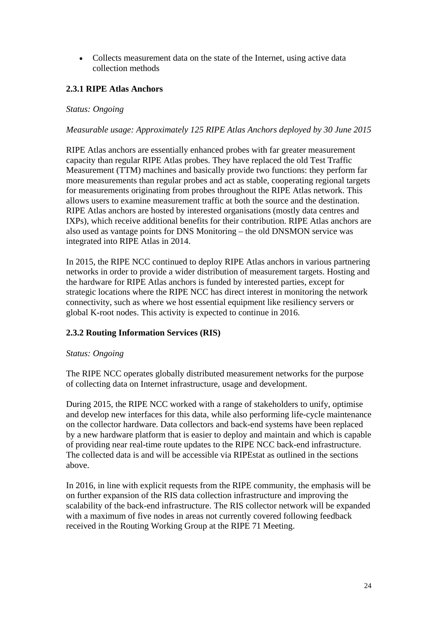• Collects measurement data on the state of the Internet, using active data collection methods

# **2.3.1 RIPE Atlas Anchors**

### *Status: Ongoing*

### *Measurable usage: Approximately 125 RIPE Atlas Anchors deployed by 30 June 2015*

RIPE Atlas anchors are essentially enhanced probes with far greater measurement capacity than regular RIPE Atlas probes. They have replaced the old Test Traffic Measurement (TTM) machines and basically provide two functions: they perform far more measurements than regular probes and act as stable, cooperating regional targets for measurements originating from probes throughout the RIPE Atlas network. This allows users to examine measurement traffic at both the source and the destination. RIPE Atlas anchors are hosted by interested organisations (mostly data centres and IXPs), which receive additional benefits for their contribution. RIPE Atlas anchors are also used as vantage points for DNS Monitoring – the old DNSMON service was integrated into RIPE Atlas in 2014.

In 2015, the RIPE NCC continued to deploy RIPE Atlas anchors in various partnering networks in order to provide a wider distribution of measurement targets. Hosting and the hardware for RIPE Atlas anchors is funded by interested parties, except for strategic locations where the RIPE NCC has direct interest in monitoring the network connectivity, such as where we host essential equipment like resiliency servers or global K-root nodes. This activity is expected to continue in 2016.

# **2.3.2 Routing Information Services (RIS)**

#### *Status: Ongoing*

The RIPE NCC operates globally distributed measurement networks for the purpose of collecting data on Internet infrastructure, usage and development.

During 2015, the RIPE NCC worked with a range of stakeholders to unify, optimise and develop new interfaces for this data, while also performing life-cycle maintenance on the collector hardware. Data collectors and back-end systems have been replaced by a new hardware platform that is easier to deploy and maintain and which is capable of providing near real-time route updates to the RIPE NCC back-end infrastructure. The collected data is and will be accessible via RIPEstat as outlined in the sections above.

In 2016, in line with explicit requests from the RIPE community, the emphasis will be on further expansion of the RIS data collection infrastructure and improving the scalability of the back-end infrastructure. The RIS collector network will be expanded with a maximum of five nodes in areas not currently covered following feedback received in the Routing Working Group at the RIPE 71 Meeting.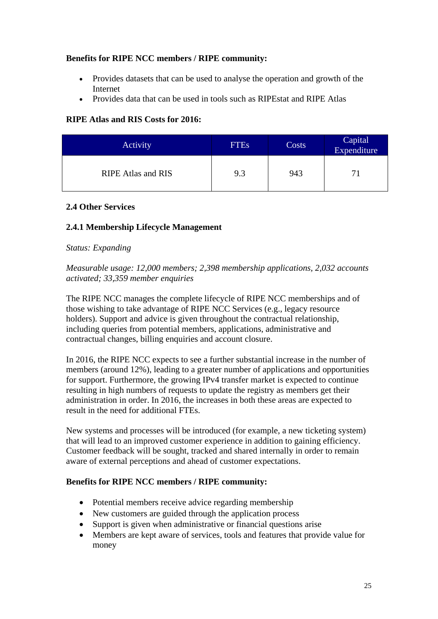# **Benefits for RIPE NCC members / RIPE community:**

- Provides datasets that can be used to analyse the operation and growth of the Internet
- Provides data that can be used in tools such as RIPEstat and RIPE Atlas

# **RIPE Atlas and RIS Costs for 2016:**

| Activity                  | <b>FTEs</b> | Costs | Capital<br>Expenditure |
|---------------------------|-------------|-------|------------------------|
| <b>RIPE Atlas and RIS</b> | 9.3         | 943   |                        |

# <span id="page-24-0"></span>**2.4 Other Services**

# **2.4.1 Membership Lifecycle Management**

# *Status: Expanding*

*Measurable usage: 12,000 members; 2,398 membership applications, 2,032 accounts activated; 33,359 member enquiries*

The RIPE NCC manages the complete lifecycle of RIPE NCC memberships and of those wishing to take advantage of RIPE NCC Services (e.g., legacy resource holders). Support and advice is given throughout the contractual relationship, including queries from potential members, applications, administrative and contractual changes, billing enquiries and account closure.

In 2016, the RIPE NCC expects to see a further substantial increase in the number of members (around 12%), leading to a greater number of applications and opportunities for support. Furthermore, the growing IPv4 transfer market is expected to continue resulting in high numbers of requests to update the registry as members get their administration in order. In 2016, the increases in both these areas are expected to result in the need for additional FTEs.

New systems and processes will be introduced (for example, a new ticketing system) that will lead to an improved customer experience in addition to gaining efficiency. Customer feedback will be sought, tracked and shared internally in order to remain aware of external perceptions and ahead of customer expectations.

# **Benefits for RIPE NCC members / RIPE community:**

- Potential members receive advice regarding membership
- New customers are guided through the application process
- Support is given when administrative or financial questions arise
- Members are kept aware of services, tools and features that provide value for money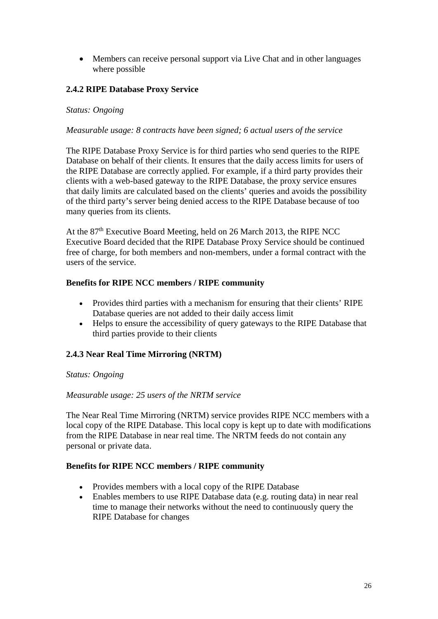• Members can receive personal support via Live Chat and in other languages where possible

# **2.4.2 RIPE Database Proxy Service**

#### *Status: Ongoing*

#### *Measurable usage: 8 contracts have been signed; 6 actual users of the service*

The RIPE Database Proxy Service is for third parties who send queries to the RIPE Database on behalf of their clients. It ensures that the daily access limits for users of the RIPE Database are correctly applied. For example, if a third party provides their clients with a web-based gateway to the RIPE Database, the proxy service ensures that daily limits are calculated based on the clients' queries and avoids the possibility of the third party's server being denied access to the RIPE Database because of too many queries from its clients.

At the 87<sup>th</sup> Executive Board Meeting, held on 26 March 2013, the RIPE NCC Executive Board decided that the RIPE Database Proxy Service should be continued free of charge, for both members and non-members, under a formal contract with the users of the service.

#### **Benefits for RIPE NCC members / RIPE community**

- Provides third parties with a mechanism for ensuring that their clients' RIPE Database queries are not added to their daily access limit
- Helps to ensure the accessibility of query gateways to the RIPE Database that third parties provide to their clients

# **2.4.3 Near Real Time Mirroring (NRTM)**

#### *Status: Ongoing*

#### *Measurable usage: 25 users of the NRTM service*

The Near Real Time Mirroring (NRTM) service provides RIPE NCC members with a local copy of the RIPE Database. This local copy is kept up to date with modifications from the RIPE Database in near real time. The NRTM feeds do not contain any personal or private data.

#### **Benefits for RIPE NCC members / RIPE community**

- Provides members with a local copy of the RIPE Database
- Enables members to use RIPE Database data (e.g. routing data) in near real time to manage their networks without the need to continuously query the RIPE Database for changes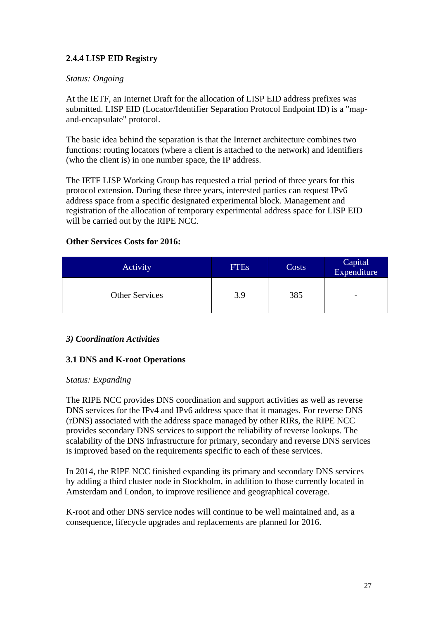# **2.4.4 LISP EID Registry**

# *Status: Ongoing*

At the IETF, an Internet Draft for the allocation of LISP EID address prefixes was submitted. LISP EID (Locator/Identifier Separation Protocol Endpoint ID) is a "mapand-encapsulate" protocol.

The basic idea behind the separation is that the Internet architecture combines two functions: routing locators (where a client is attached to the network) and identifiers (who the client is) in one number space, the IP address.

The IETF LISP Working Group has requested a trial period of three years for this protocol extension. During these three years, interested parties can request IPv6 address space from a specific designated experimental block. Management and registration of the allocation of temporary experimental address space for LISP EID will be carried out by the RIPE NCC.

# **Other Services Costs for 2016:**

| <b>Activity</b>       | <b>FTEs</b> | Costs | Capital<br>Expenditure |
|-----------------------|-------------|-------|------------------------|
| <b>Other Services</b> | 3.9         | 385   | -                      |

# <span id="page-26-0"></span>*3) Coordination Activities*

# <span id="page-26-1"></span>**3.1 DNS and K-root Operations**

# *Status: Expanding*

The RIPE NCC provides DNS coordination and support activities as well as reverse DNS services for the IPv4 and IPv6 address space that it manages. For reverse DNS (rDNS) associated with the address space managed by other RIRs, the RIPE NCC provides secondary DNS services to support the reliability of reverse lookups. The scalability of the DNS infrastructure for primary, secondary and reverse DNS services is improved based on the requirements specific to each of these services.

In 2014, the RIPE NCC finished expanding its primary and secondary DNS services by adding a third cluster node in Stockholm, in addition to those currently located in Amsterdam and London, to improve resilience and geographical coverage.

K-root and other DNS service nodes will continue to be well maintained and, as a consequence, lifecycle upgrades and replacements are planned for 2016.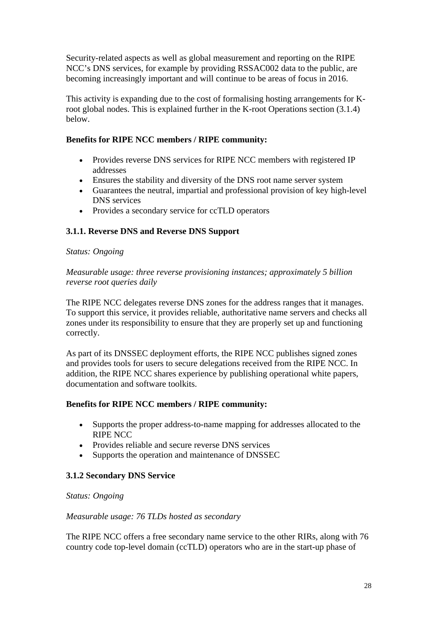Security-related aspects as well as global measurement and reporting on the RIPE NCC's DNS services, for example by providing RSSAC002 data to the public, are becoming increasingly important and will continue to be areas of focus in 2016.

This activity is expanding due to the cost of formalising hosting arrangements for Kroot global nodes. This is explained further in the K-root Operations section (3.1.4) below.

### **Benefits for RIPE NCC members / RIPE community:**

- Provides reverse DNS services for RIPE NCC members with registered IP addresses
- Ensures the stability and diversity of the DNS root name server system
- Guarantees the neutral, impartial and professional provision of key high-level DNS services
- Provides a secondary service for ccTLD operators

# **3.1.1. Reverse DNS and Reverse DNS Support**

#### *Status: Ongoing*

*Measurable usage: three reverse provisioning instances; approximately 5 billion reverse root queries daily*

The RIPE NCC delegates reverse DNS zones for the address ranges that it manages. To support this service, it provides reliable, authoritative name servers and checks all zones under its responsibility to ensure that they are properly set up and functioning correctly.

As part of its DNSSEC deployment efforts, the RIPE NCC publishes signed zones and provides tools for users to secure delegations received from the RIPE NCC. In addition, the RIPE NCC shares experience by publishing operational white papers, documentation and software toolkits.

#### **Benefits for RIPE NCC members / RIPE community:**

- Supports the proper address-to-name mapping for addresses allocated to the RIPE NCC
- Provides reliable and secure reverse DNS services
- Supports the operation and maintenance of DNSSEC

# **3.1.2 Secondary DNS Service**

# *Status: Ongoing*

#### *Measurable usage: 76 TLDs hosted as secondary*

The RIPE NCC offers a free secondary name service to the other RIRs, along with 76 country code top-level domain (ccTLD) operators who are in the start-up phase of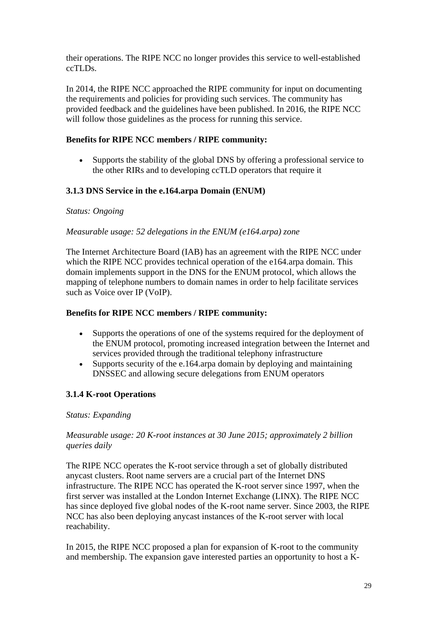their operations. The RIPE NCC no longer provides this service to well-established ccTLDs.

In 2014, the RIPE NCC approached the RIPE community for input on documenting the requirements and policies for providing such services. The community has provided feedback and the guidelines have been published. In 2016, the RIPE NCC will follow those guidelines as the process for running this service.

# **Benefits for RIPE NCC members / RIPE community:**

• Supports the stability of the global DNS by offering a professional service to the other RIRs and to developing ccTLD operators that require it

# **3.1.3 DNS Service in the e.164.arpa Domain (ENUM)**

#### *Status: Ongoing*

#### *Measurable usage: 52 delegations in the ENUM (e164.arpa) zone*

The Internet Architecture Board (IAB) has an agreement with the RIPE NCC under which the RIPE NCC provides technical operation of the e164.arpa domain. This domain implements support in the DNS for the ENUM protocol, which allows the mapping of telephone numbers to domain names in order to help facilitate services such as Voice over IP (VoIP).

### **Benefits for RIPE NCC members / RIPE community:**

- Supports the operations of one of the systems required for the deployment of the ENUM protocol, promoting increased integration between the Internet and services provided through the traditional telephony infrastructure
- Supports security of the e.164.arpa domain by deploying and maintaining DNSSEC and allowing secure delegations from ENUM operators

# **3.1.4 K-root Operations**

#### *Status: Expanding*

#### *Measurable usage: 20 K-root instances at 30 June 2015; approximately 2 billion queries daily*

The RIPE NCC operates the K-root service through a set of globally distributed anycast clusters. Root name servers are a crucial part of the Internet DNS infrastructure. The RIPE NCC has operated the K-root server since 1997, when the first server was installed at the London Internet Exchange (LINX). The RIPE NCC has since deployed five global nodes of the K-root name server. Since 2003, the RIPE NCC has also been deploying anycast instances of the K-root server with local reachability.

In 2015, the RIPE NCC proposed a plan for expansion of K-root to the community and membership. The expansion gave interested parties an opportunity to host a K-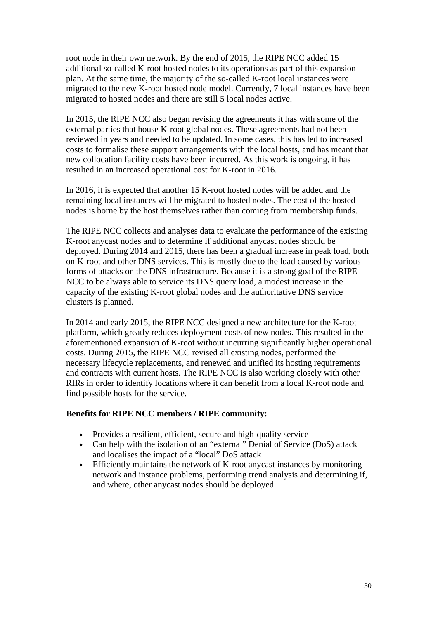root node in their own network. By the end of 2015, the RIPE NCC added 15 additional so-called K-root hosted nodes to its operations as part of this expansion plan. At the same time, the majority of the so-called K-root local instances were migrated to the new K-root hosted node model. Currently, 7 local instances have been migrated to hosted nodes and there are still 5 local nodes active.

In 2015, the RIPE NCC also began revising the agreements it has with some of the external parties that house K-root global nodes. These agreements had not been reviewed in years and needed to be updated. In some cases, this has led to increased costs to formalise these support arrangements with the local hosts, and has meant that new collocation facility costs have been incurred. As this work is ongoing, it has resulted in an increased operational cost for K-root in 2016.

In 2016, it is expected that another 15 K-root hosted nodes will be added and the remaining local instances will be migrated to hosted nodes. The cost of the hosted nodes is borne by the host themselves rather than coming from membership funds.

The RIPE NCC collects and analyses data to evaluate the performance of the existing K-root anycast nodes and to determine if additional anycast nodes should be deployed. During 2014 and 2015, there has been a gradual increase in peak load, both on K-root and other DNS services. This is mostly due to the load caused by various forms of attacks on the DNS infrastructure. Because it is a strong goal of the RIPE NCC to be always able to service its DNS query load, a modest increase in the capacity of the existing K-root global nodes and the authoritative DNS service clusters is planned.

In 2014 and early 2015, the RIPE NCC designed a new architecture for the K-root platform, which greatly reduces deployment costs of new nodes. This resulted in the aforementioned expansion of K-root without incurring significantly higher operational costs. During 2015, the RIPE NCC revised all existing nodes, performed the necessary lifecycle replacements, and renewed and unified its hosting requirements and contracts with current hosts. The RIPE NCC is also working closely with other RIRs in order to identify locations where it can benefit from a local K-root node and find possible hosts for the service.

#### **Benefits for RIPE NCC members / RIPE community:**

- Provides a resilient, efficient, secure and high-quality service
- Can help with the isolation of an "external" Denial of Service (DoS) attack and localises the impact of a "local" DoS attack
- Efficiently maintains the network of K-root any cast instances by monitoring network and instance problems, performing trend analysis and determining if, and where, other anycast nodes should be deployed.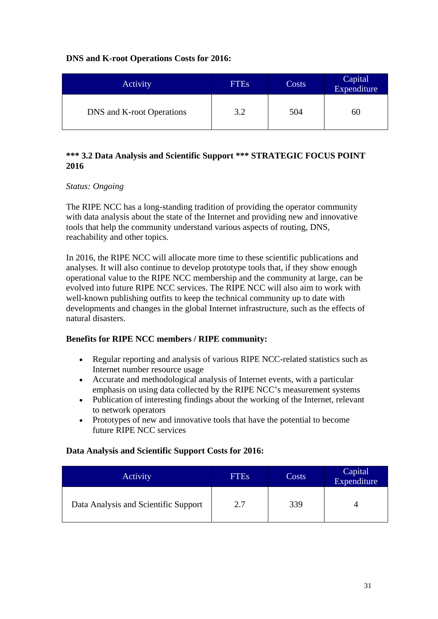# **DNS and K-root Operations Costs for 2016:**

| Activity                  | <b>FTEs</b> | Costs | Capital<br>Expenditure |
|---------------------------|-------------|-------|------------------------|
| DNS and K-root Operations | 3.2         | 504   | 60                     |

# <span id="page-30-0"></span>**\*\*\* 3.2 Data Analysis and Scientific Support \*\*\* STRATEGIC FOCUS POINT 2016**

# *Status: Ongoing*

The RIPE NCC has a long-standing tradition of providing the operator community with data analysis about the state of the Internet and providing new and innovative tools that help the community understand various aspects of routing, DNS, reachability and other topics.

In 2016, the RIPE NCC will allocate more time to these scientific publications and analyses. It will also continue to develop prototype tools that, if they show enough operational value to the RIPE NCC membership and the community at large, can be evolved into future RIPE NCC services. The RIPE NCC will also aim to work with well-known publishing outfits to keep the technical community up to date with developments and changes in the global Internet infrastructure, such as the effects of natural disasters.

# **Benefits for RIPE NCC members / RIPE community:**

- Regular reporting and analysis of various RIPE NCC-related statistics such as Internet number resource usage
- Accurate and methodological analysis of Internet events, with a particular emphasis on using data collected by the RIPE NCC's measurement systems
- Publication of interesting findings about the working of the Internet, relevant to network operators
- Prototypes of new and innovative tools that have the potential to become future RIPE NCC services

# **Data Analysis and Scientific Support Costs for 2016:**

<span id="page-30-1"></span>

| Activity                             | <b>FTEs</b> | Costs | Capital<br>Expenditure |
|--------------------------------------|-------------|-------|------------------------|
| Data Analysis and Scientific Support | 2.7         | 339   |                        |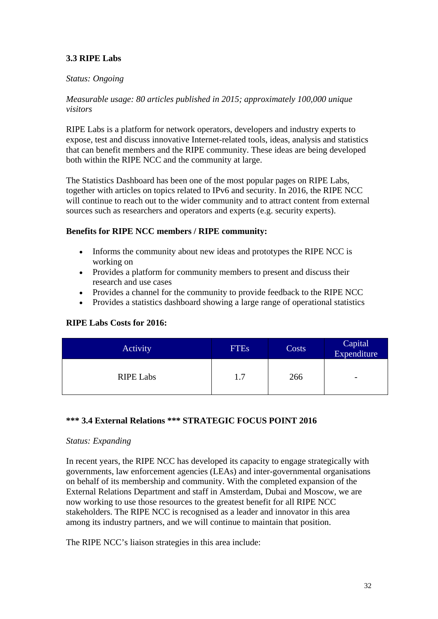# **3.3 RIPE Labs**

#### *Status: Ongoing*

#### *Measurable usage: 80 articles published in 2015; approximately 100,000 unique visitors*

RIPE Labs is a platform for network operators, developers and industry experts to expose, test and discuss innovative Internet-related tools, ideas, analysis and statistics that can benefit members and the RIPE community. These ideas are being developed both within the RIPE NCC and the community at large.

The Statistics Dashboard has been one of the most popular pages on RIPE Labs, together with articles on topics related to IPv6 and security. In 2016, the RIPE NCC will continue to reach out to the wider community and to attract content from external sources such as researchers and operators and experts (e.g. security experts).

#### **Benefits for RIPE NCC members / RIPE community:**

- Informs the community about new ideas and prototypes the RIPE NCC is working on
- Provides a platform for community members to present and discuss their research and use cases
- Provides a channel for the community to provide feedback to the RIPE NCC
- Provides a statistics dashboard showing a large range of operational statistics

#### **RIPE Labs Costs for 2016:**

| Activity         | <b>FTEs</b> | Costs | Capital<br>Expenditure |
|------------------|-------------|-------|------------------------|
| <b>RIPE Labs</b> | 1.7         | 266   | -                      |

#### <span id="page-31-0"></span>**\*\*\* 3.4 External Relations \*\*\* STRATEGIC FOCUS POINT 2016**

#### *Status: Expanding*

In recent years, the RIPE NCC has developed its capacity to engage strategically with governments, law enforcement agencies (LEAs) and inter-governmental organisations on behalf of its membership and community. With the completed expansion of the External Relations Department and staff in Amsterdam, Dubai and Moscow, we are now working to use those resources to the greatest benefit for all RIPE NCC stakeholders. The RIPE NCC is recognised as a leader and innovator in this area among its industry partners, and we will continue to maintain that position.

The RIPE NCC's liaison strategies in this area include: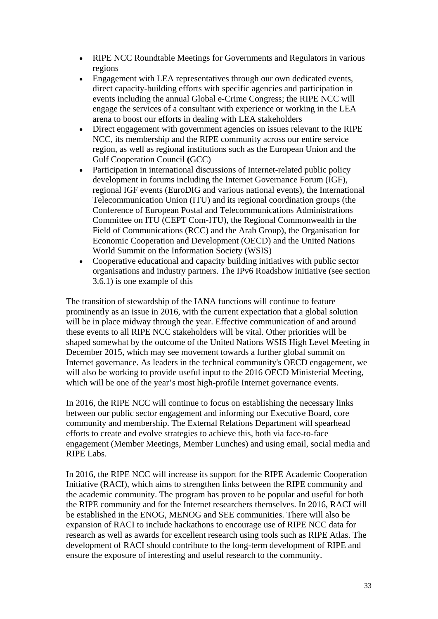- RIPE NCC Roundtable Meetings for Governments and Regulators in various regions
- Engagement with LEA representatives through our own dedicated events, direct capacity-building efforts with specific agencies and participation in events including the annual Global e-Crime Congress; the RIPE NCC will engage the services of a consultant with experience or working in the LEA arena to boost our efforts in dealing with LEA stakeholders
- Direct engagement with government agencies on issues relevant to the RIPE NCC, its membership and the RIPE community across our entire service region, as well as regional institutions such as the European Union and the Gulf Cooperation Council **(**GCC)
- Participation in international discussions of Internet-related public policy development in forums including the Internet Governance Forum (IGF), regional IGF events (EuroDIG and various national events), the International Telecommunication Union (ITU) and its regional coordination groups (the Conference of European Postal and Telecommunications Administrations Committee on ITU (CEPT Com-ITU), the Regional Commonwealth in the Field of Communications (RCC) and the Arab Group), the Organisation for Economic Cooperation and Development (OECD) and the United Nations World Summit on the Information Society (WSIS)
- Cooperative educational and capacity building initiatives with public sector organisations and industry partners. The IPv6 Roadshow initiative (see section 3.6.1) is one example of this

The transition of stewardship of the IANA functions will continue to feature prominently as an issue in 2016, with the current expectation that a global solution will be in place midway through the year. Effective communication of and around these events to all RIPE NCC stakeholders will be vital. Other priorities will be shaped somewhat by the outcome of the United Nations WSIS High Level Meeting in December 2015, which may see movement towards a further global summit on Internet governance. As leaders in the technical community's OECD engagement, we will also be working to provide useful input to the 2016 OECD Ministerial Meeting, which will be one of the year's most high-profile Internet governance events.

In 2016, the RIPE NCC will continue to focus on establishing the necessary links between our public sector engagement and informing our Executive Board, core community and membership. The External Relations Department will spearhead efforts to create and evolve strategies to achieve this, both via face-to-face engagement (Member Meetings, Member Lunches) and using email, social media and RIPE Labs.

In 2016, the RIPE NCC will increase its support for the RIPE Academic Cooperation Initiative (RACI), which aims to strengthen links between the RIPE community and the academic community. The program has proven to be popular and useful for both the RIPE community and for the Internet researchers themselves. In 2016, RACI will be established in the ENOG, MENOG and SEE communities. There will also be expansion of RACI to include hackathons to encourage use of RIPE NCC data for research as well as awards for excellent research using tools such as RIPE Atlas. The development of RACI should contribute to the long-term development of RIPE and ensure the exposure of interesting and useful research to the community.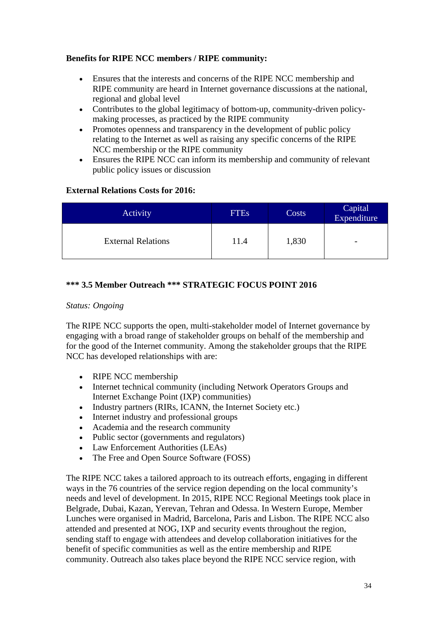# **Benefits for RIPE NCC members / RIPE community:**

- Ensures that the interests and concerns of the RIPE NCC membership and RIPE community are heard in Internet governance discussions at the national, regional and global level
- Contributes to the global legitimacy of bottom-up, community-driven policymaking processes, as practiced by the RIPE community
- Promotes openness and transparency in the development of public policy relating to the Internet as well as raising any specific concerns of the RIPE NCC membership or the RIPE community
- Ensures the RIPE NCC can inform its membership and community of relevant public policy issues or discussion

# **External Relations Costs for 2016:**

| Activity                  | <b>FTEs</b> | Costs | Capital<br>Expenditure   |
|---------------------------|-------------|-------|--------------------------|
| <b>External Relations</b> | 11.4        | 1,830 | $\overline{\phantom{a}}$ |

# <span id="page-33-0"></span>**\*\*\* 3.5 Member Outreach \*\*\* STRATEGIC FOCUS POINT 2016**

### *Status: Ongoing*

The RIPE NCC supports the open, multi-stakeholder model of Internet governance by engaging with a broad range of stakeholder groups on behalf of the membership and for the good of the Internet community. Among the stakeholder groups that the RIPE NCC has developed relationships with are:

- RIPE NCC membership
- Internet technical community (including Network Operators Groups and Internet Exchange Point (IXP) communities)
- Industry partners (RIRs, ICANN, the Internet Society etc.)
- Internet industry and professional groups
- Academia and the research community
- Public sector (governments and regulators)
- Law Enforcement Authorities (LEAs)
- The Free and Open Source Software (FOSS)

The RIPE NCC takes a tailored approach to its outreach efforts, engaging in different ways in the 76 countries of the service region depending on the local community's needs and level of development. In 2015, RIPE NCC Regional Meetings took place in Belgrade, Dubai, Kazan, Yerevan, Tehran and Odessa. In Western Europe, Member Lunches were organised in Madrid, Barcelona, Paris and Lisbon. The RIPE NCC also attended and presented at NOG, IXP and security events throughout the region, sending staff to engage with attendees and develop collaboration initiatives for the benefit of specific communities as well as the entire membership and RIPE community. Outreach also takes place beyond the RIPE NCC service region, with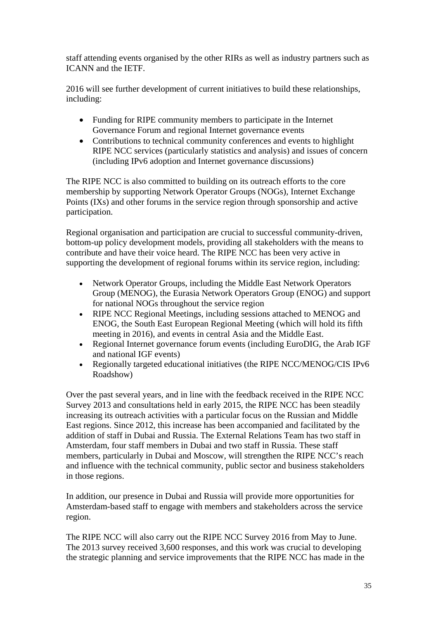staff attending events organised by the other RIRs as well as industry partners such as ICANN and the IETF.

2016 will see further development of current initiatives to build these relationships, including:

- Funding for RIPE community members to participate in the Internet Governance Forum and regional Internet governance events
- Contributions to technical community conferences and events to highlight RIPE NCC services (particularly statistics and analysis) and issues of concern (including IPv6 adoption and Internet governance discussions)

The RIPE NCC is also committed to building on its outreach efforts to the core membership by supporting Network Operator Groups (NOGs), Internet Exchange Points (IXs) and other forums in the service region through sponsorship and active participation.

Regional organisation and participation are crucial to successful community-driven, bottom-up policy development models, providing all stakeholders with the means to contribute and have their voice heard. The RIPE NCC has been very active in supporting the development of regional forums within its service region, including:

- Network Operator Groups, including the Middle East Network Operators Group (MENOG), the Eurasia Network Operators Group (ENOG) and support for national NOGs throughout the service region
- RIPE NCC Regional Meetings, including sessions attached to MENOG and ENOG, the South East European Regional Meeting (which will hold its fifth meeting in 2016), and events in central Asia and the Middle East.
- Regional Internet governance forum events (including EuroDIG, the Arab IGF and national IGF events)
- Regionally targeted educational initiatives (the RIPE NCC/MENOG/CIS IPv6 Roadshow)

Over the past several years, and in line with the feedback received in the RIPE NCC Survey 2013 and consultations held in early 2015, the RIPE NCC has been steadily increasing its outreach activities with a particular focus on the Russian and Middle East regions. Since 2012, this increase has been accompanied and facilitated by the addition of staff in Dubai and Russia. The External Relations Team has two staff in Amsterdam, four staff members in Dubai and two staff in Russia. These staff members, particularly in Dubai and Moscow, will strengthen the RIPE NCC's reach and influence with the technical community, public sector and business stakeholders in those regions.

In addition, our presence in Dubai and Russia will provide more opportunities for Amsterdam-based staff to engage with members and stakeholders across the service region.

The RIPE NCC will also carry out the RIPE NCC Survey 2016 from May to June. The 2013 survey received 3,600 responses, and this work was crucial to developing the strategic planning and service improvements that the RIPE NCC has made in the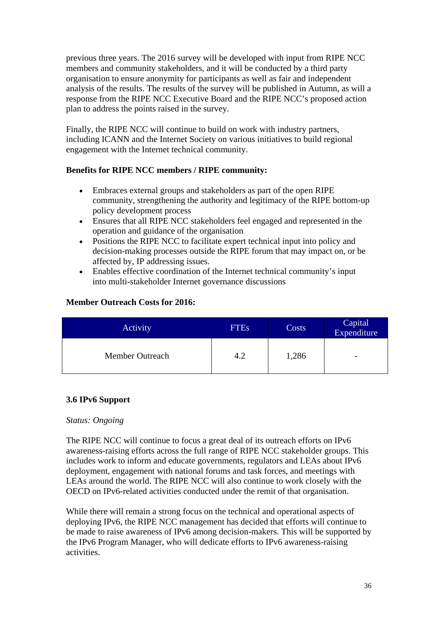previous three years. The 2016 survey will be developed with input from RIPE NCC members and community stakeholders, and it will be conducted by a third party organisation to ensure anonymity for participants as well as fair and independent analysis of the results. The results of the survey will be published in Autumn, as will a response from the RIPE NCC Executive Board and the RIPE NCC's proposed action plan to address the points raised in the survey.

Finally, the RIPE NCC will continue to build on work with industry partners, including ICANN and the Internet Society on various initiatives to build regional engagement with the Internet technical community.

# **Benefits for RIPE NCC members / RIPE community:**

- Embraces external groups and stakeholders as part of the open RIPE community, strengthening the authority and legitimacy of the RIPE bottom-up policy development process
- Ensures that all RIPE NCC stakeholders feel engaged and represented in the operation and guidance of the organisation
- Positions the RIPE NCC to facilitate expert technical input into policy and decision-making processes outside the RIPE forum that may impact on, or be affected by, IP addressing issues.
- Enables effective coordination of the Internet technical community's input into multi-stakeholder Internet governance discussions

# **Member Outreach Costs for 2016:**

| Activity        | <b>FTEs</b> | Costs | Capital<br>Expenditure   |
|-----------------|-------------|-------|--------------------------|
| Member Outreach | 4.2         | 1,286 | $\overline{\phantom{a}}$ |

# <span id="page-35-0"></span>**3.6 IPv6 Support**

# *Status: Ongoing*

The RIPE NCC will continue to focus a great deal of its outreach efforts on IPv6 awareness-raising efforts across the full range of RIPE NCC stakeholder groups. This includes work to inform and educate governments, regulators and LEAs about IPv6 deployment, engagement with national forums and task forces, and meetings with LEAs around the world. The RIPE NCC will also continue to work closely with the OECD on IPv6-related activities conducted under the remit of that organisation.

While there will remain a strong focus on the technical and operational aspects of deploying IPv6, the RIPE NCC management has decided that efforts will continue to be made to raise awareness of IPv6 among decision-makers. This will be supported by the IPv6 Program Manager, who will dedicate efforts to IPv6 awareness-raising activities.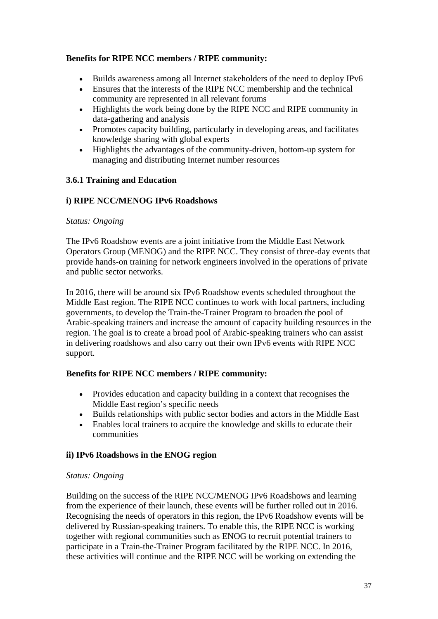# **Benefits for RIPE NCC members / RIPE community:**

- Builds awareness among all Internet stakeholders of the need to deploy IPv6
- Ensures that the interests of the RIPE NCC membership and the technical community are represented in all relevant forums
- Highlights the work being done by the RIPE NCC and RIPE community in data-gathering and analysis
- Promotes capacity building, particularly in developing areas, and facilitates knowledge sharing with global experts
- Highlights the advantages of the community-driven, bottom-up system for managing and distributing Internet number resources

# **3.6.1 Training and Education**

# **i) RIPE NCC/MENOG IPv6 Roadshows**

# *Status: Ongoing*

The IPv6 Roadshow events are a joint initiative from the Middle East Network Operators Group (MENOG) and the RIPE NCC. They consist of three-day events that provide hands-on training for network engineers involved in the operations of private and public sector networks.

In 2016, there will be around six IPv6 Roadshow events scheduled throughout the Middle East region. The RIPE NCC continues to work with local partners, including governments, to develop the Train-the-Trainer Program to broaden the pool of Arabic-speaking trainers and increase the amount of capacity building resources in the region. The goal is to create a broad pool of Arabic-speaking trainers who can assist in delivering roadshows and also carry out their own IPv6 events with RIPE NCC support.

# **Benefits for RIPE NCC members / RIPE community:**

- Provides education and capacity building in a context that recognises the Middle East region's specific needs
- Builds relationships with public sector bodies and actors in the Middle East
- Enables local trainers to acquire the knowledge and skills to educate their communities

# **ii) IPv6 Roadshows in the ENOG region**

# *Status: Ongoing*

Building on the success of the RIPE NCC/MENOG IPv6 Roadshows and learning from the experience of their launch, these events will be further rolled out in 2016. Recognising the needs of operators in this region, the IPv6 Roadshow events will be delivered by Russian-speaking trainers. To enable this, the RIPE NCC is working together with regional communities such as ENOG to recruit potential trainers to participate in a Train-the-Trainer Program facilitated by the RIPE NCC. In 2016, these activities will continue and the RIPE NCC will be working on extending the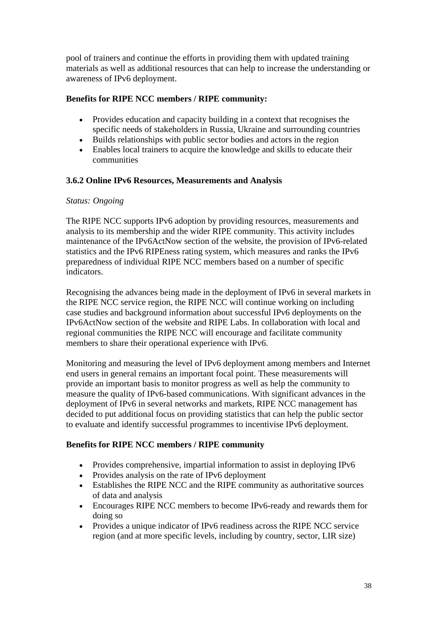pool of trainers and continue the efforts in providing them with updated training materials as well as additional resources that can help to increase the understanding or awareness of IPv6 deployment.

# **Benefits for RIPE NCC members / RIPE community:**

- Provides education and capacity building in a context that recognises the specific needs of stakeholders in Russia, Ukraine and surrounding countries
- Builds relationships with public sector bodies and actors in the region
- Enables local trainers to acquire the knowledge and skills to educate their communities

# **3.6.2 Online IPv6 Resources, Measurements and Analysis**

#### *Status: Ongoing*

The RIPE NCC supports IPv6 adoption by providing resources, measurements and analysis to its membership and the wider RIPE community. This activity includes maintenance of the IPv6ActNow section of the website, the provision of IPv6-related statistics and the IPv6 RIPEness rating system, which measures and ranks the IPv6 preparedness of individual RIPE NCC members based on a number of specific indicators.

Recognising the advances being made in the deployment of IPv6 in several markets in the RIPE NCC service region, the RIPE NCC will continue working on including case studies and background information about successful IPv6 deployments on the IPv6ActNow section of the website and RIPE Labs. In collaboration with local and regional communities the RIPE NCC will encourage and facilitate community members to share their operational experience with IPv6.

Monitoring and measuring the level of IPv6 deployment among members and Internet end users in general remains an important focal point. These measurements will provide an important basis to monitor progress as well as help the community to measure the quality of IPv6-based communications. With significant advances in the deployment of IPv6 in several networks and markets, RIPE NCC management has decided to put additional focus on providing statistics that can help the public sector to evaluate and identify successful programmes to incentivise IPv6 deployment.

# **Benefits for RIPE NCC members / RIPE community**

- Provides comprehensive, impartial information to assist in deploying IPv6
- Provides analysis on the rate of IPv6 deployment
- Establishes the RIPE NCC and the RIPE community as authoritative sources of data and analysis
- Encourages RIPE NCC members to become IPv6-ready and rewards them for doing so
- Provides a unique indicator of IPv6 readiness across the RIPE NCC service region (and at more specific levels, including by country, sector, LIR size)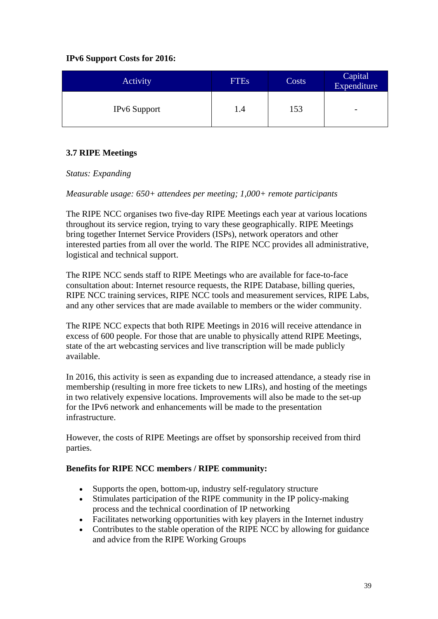# **IPv6 Support Costs for 2016:**

| Activity            | <b>FTEs</b> | Costs | Capital<br>Expenditure   |
|---------------------|-------------|-------|--------------------------|
| <b>IPv6</b> Support | 1.4         | 153   | $\overline{\phantom{0}}$ |

# <span id="page-38-0"></span>**3.7 RIPE Meetings**

# *Status: Expanding*

*Measurable usage: 650+ attendees per meeting; 1,000+ remote participants*

The RIPE NCC organises two five-day RIPE Meetings each year at various locations throughout its service region, trying to vary these geographically. RIPE Meetings bring together Internet Service Providers (ISPs), network operators and other interested parties from all over the world. The RIPE NCC provides all administrative, logistical and technical support.

The RIPE NCC sends staff to RIPE Meetings who are available for face-to-face consultation about: Internet resource requests, the RIPE Database, billing queries, RIPE NCC training services, RIPE NCC tools and measurement services, RIPE Labs, and any other services that are made available to members or the wider community.

The RIPE NCC expects that both RIPE Meetings in 2016 will receive attendance in excess of 600 people. For those that are unable to physically attend RIPE Meetings, state of the art webcasting services and live transcription will be made publicly available.

In 2016, this activity is seen as expanding due to increased attendance, a steady rise in membership (resulting in more free tickets to new LIRs), and hosting of the meetings in two relatively expensive locations. Improvements will also be made to the set-up for the IPv6 network and enhancements will be made to the presentation infrastructure.

However, the costs of RIPE Meetings are offset by sponsorship received from third parties.

# **Benefits for RIPE NCC members / RIPE community:**

- Supports the open, bottom-up, industry self-regulatory structure
- Stimulates participation of the RIPE community in the IP policy-making process and the technical coordination of IP networking
- Facilitates networking opportunities with key players in the Internet industry
- Contributes to the stable operation of the RIPE NCC by allowing for guidance and advice from the RIPE Working Groups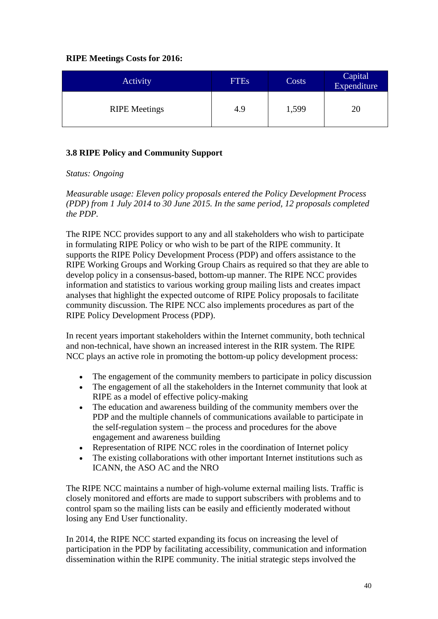# **RIPE Meetings Costs for 2016:**

| Activity             | <b>FTEs</b> | Costs | Capital<br>Expenditure |
|----------------------|-------------|-------|------------------------|
| <b>RIPE</b> Meetings | 4.9         | 1,599 | 20                     |

# <span id="page-39-0"></span>**3.8 RIPE Policy and Community Support**

# *Status: Ongoing*

*Measurable usage: Eleven policy proposals entered the Policy Development Process (PDP) from 1 July 2014 to 30 June 2015. In the same period, 12 proposals completed the PDP.*

The RIPE NCC provides support to any and all stakeholders who wish to participate in formulating RIPE Policy or who wish to be part of the RIPE community. It supports the RIPE Policy Development Process (PDP) and offers assistance to the RIPE Working Groups and Working Group Chairs as required so that they are able to develop policy in a consensus-based, bottom-up manner. The RIPE NCC provides information and statistics to various working group mailing lists and creates impact analyses that highlight the expected outcome of RIPE Policy proposals to facilitate community discussion. The RIPE NCC also implements procedures as part of the RIPE Policy Development Process (PDP).

In recent years important stakeholders within the Internet community, both technical and non-technical, have shown an increased interest in the RIR system. The RIPE NCC plays an active role in promoting the bottom-up policy development process:

- The engagement of the community members to participate in policy discussion
- The engagement of all the stakeholders in the Internet community that look at RIPE as a model of effective policy-making
- The education and awareness building of the community members over the PDP and the multiple channels of communications available to participate in the self-regulation system – the process and procedures for the above engagement and awareness building
- Representation of RIPE NCC roles in the coordination of Internet policy
- The existing collaborations with other important Internet institutions such as ICANN, the ASO AC and the NRO

The RIPE NCC maintains a number of high-volume external mailing lists. Traffic is closely monitored and efforts are made to support subscribers with problems and to control spam so the mailing lists can be easily and efficiently moderated without losing any End User functionality.

In 2014, the RIPE NCC started expanding its focus on increasing the level of participation in the PDP by facilitating accessibility, communication and information dissemination within the RIPE community. The initial strategic steps involved the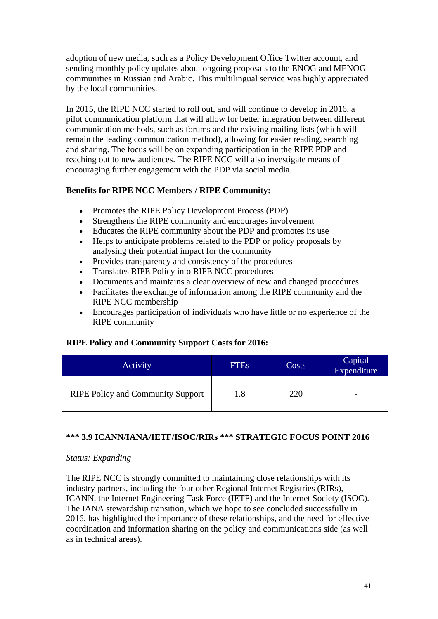adoption of new media, such as a Policy Development Office Twitter account, and sending monthly policy updates about ongoing proposals to the ENOG and MENOG communities in Russian and Arabic. This multilingual service was highly appreciated by the local communities.

In 2015, the RIPE NCC started to roll out, and will continue to develop in 2016, a pilot communication platform that will allow for better integration between different communication methods, such as forums and the existing mailing lists (which will remain the leading communication method), allowing for easier reading, searching and sharing. The focus will be on expanding participation in the RIPE PDP and reaching out to new audiences. The RIPE NCC will also investigate means of encouraging further engagement with the PDP via social media.

#### **Benefits for RIPE NCC Members / RIPE Community:**

- Promotes the RIPE Policy Development Process (PDP)
- Strengthens the RIPE community and encourages involvement
- Educates the RIPE community about the PDP and promotes its use
- Helps to anticipate problems related to the PDP or policy proposals by analysing their potential impact for the community
- Provides transparency and consistency of the procedures
- Translates RIPE Policy into RIPE NCC procedures
- Documents and maintains a clear overview of new and changed procedures
- Facilitates the exchange of information among the RIPE community and the RIPE NCC membership
- Encourages participation of individuals who have little or no experience of the RIPE community

# **RIPE Policy and Community Support Costs for 2016:**

| Activity                                 | <b>FTEs</b> | Costs | Capital<br>Expenditure   |
|------------------------------------------|-------------|-------|--------------------------|
| <b>RIPE Policy and Community Support</b> | 1.8         | 220   | $\overline{\phantom{0}}$ |

# <span id="page-40-0"></span>**\*\*\* 3.9 ICANN/IANA/IETF/ISOC/RIRs \*\*\* STRATEGIC FOCUS POINT 2016**

#### *Status: Expanding*

The RIPE NCC is strongly committed to maintaining close relationships with its industry partners, including the four other Regional Internet Registries (RIRs), ICANN, the Internet Engineering Task Force (IETF) and the Internet Society (ISOC). The IANA stewardship transition, which we hope to see concluded successfully in 2016, has highlighted the importance of these relationships, and the need for effective coordination and information sharing on the policy and communications side (as well as in technical areas).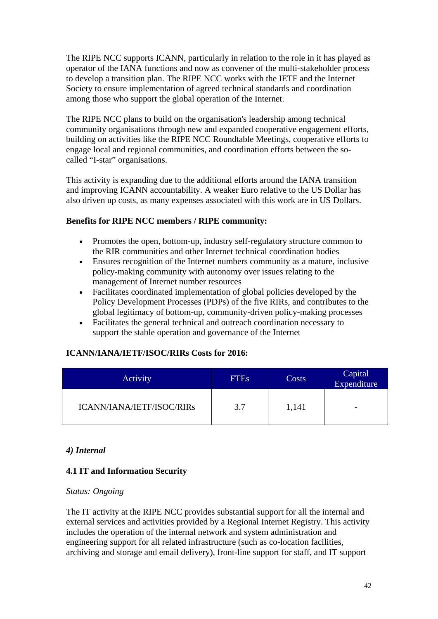The RIPE NCC supports ICANN, particularly in relation to the role in it has played as operator of the IANA functions and now as convener of the multi-stakeholder process to develop a transition plan. The RIPE NCC works with the IETF and the Internet Society to ensure implementation of agreed technical standards and coordination among those who support the global operation of the Internet.

The RIPE NCC plans to build on the organisation's leadership among technical community organisations through new and expanded cooperative engagement efforts, building on activities like the RIPE NCC Roundtable Meetings, cooperative efforts to engage local and regional communities, and coordination efforts between the socalled "I-star" organisations.

This activity is expanding due to the additional efforts around the IANA transition and improving ICANN accountability. A weaker Euro relative to the US Dollar has also driven up costs, as many expenses associated with this work are in US Dollars.

# **Benefits for RIPE NCC members / RIPE community:**

- Promotes the open, bottom-up, industry self-regulatory structure common to the RIR communities and other Internet technical coordination bodies
- Ensures recognition of the Internet numbers community as a mature, inclusive policy-making community with autonomy over issues relating to the management of Internet number resources
- Facilitates coordinated implementation of global policies developed by the Policy Development Processes (PDPs) of the five RIRs, and contributes to the global legitimacy of bottom-up, community-driven policy-making processes
- Facilitates the general technical and outreach coordination necessary to support the stable operation and governance of the Internet

# **ICANN/IANA/IETF/ISOC/RIRs Costs for 2016:**

| Activity                  | <b>FTEs</b> | Costs | Capital<br>Expenditure   |
|---------------------------|-------------|-------|--------------------------|
| ICANN/IANA/IETF/ISOC/RIRs | 3.7         | 1,141 | $\overline{\phantom{0}}$ |

# <span id="page-41-0"></span>*4) Internal*

# <span id="page-41-1"></span>**4.1 IT and Information Security**

#### *Status: Ongoing*

The IT activity at the RIPE NCC provides substantial support for all the internal and external services and activities provided by a Regional Internet Registry. This activity includes the operation of the internal network and system administration and engineering support for all related infrastructure (such as co-location facilities, archiving and storage and email delivery), front-line support for staff, and IT support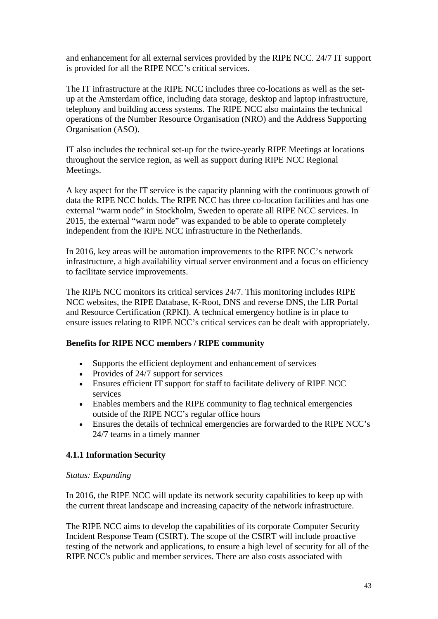and enhancement for all external services provided by the RIPE NCC. 24/7 IT support is provided for all the RIPE NCC's critical services.

The IT infrastructure at the RIPE NCC includes three co-locations as well as the setup at the Amsterdam office, including data storage, desktop and laptop infrastructure, telephony and building access systems. The RIPE NCC also maintains the technical operations of the Number Resource Organisation (NRO) and the Address Supporting Organisation (ASO).

IT also includes the technical set-up for the twice-yearly RIPE Meetings at locations throughout the service region, as well as support during RIPE NCC Regional Meetings.

A key aspect for the IT service is the capacity planning with the continuous growth of data the RIPE NCC holds. The RIPE NCC has three co-location facilities and has one external "warm node" in Stockholm, Sweden to operate all RIPE NCC services. In 2015, the external "warm node" was expanded to be able to operate completely independent from the RIPE NCC infrastructure in the Netherlands.

In 2016, key areas will be automation improvements to the RIPE NCC's network infrastructure, a high availability virtual server environment and a focus on efficiency to facilitate service improvements.

The RIPE NCC monitors its critical services 24/7. This monitoring includes RIPE NCC websites, the RIPE Database, K-Root, DNS and reverse DNS, the LIR Portal and Resource Certification (RPKI). A technical emergency hotline is in place to ensure issues relating to RIPE NCC's critical services can be dealt with appropriately.

# **Benefits for RIPE NCC members / RIPE community**

- Supports the efficient deployment and enhancement of services
- Provides of 24/7 support for services
- Ensures efficient IT support for staff to facilitate delivery of RIPE NCC services
- Enables members and the RIPE community to flag technical emergencies outside of the RIPE NCC's regular office hours
- Ensures the details of technical emergencies are forwarded to the RIPE NCC's 24/7 teams in a timely manner

# **4.1.1 Information Security**

#### *Status: Expanding*

In 2016, the RIPE NCC will update its network security capabilities to keep up with the current threat landscape and increasing capacity of the network infrastructure.

The RIPE NCC aims to develop the capabilities of its corporate Computer Security Incident Response Team (CSIRT). The scope of the CSIRT will include proactive testing of the network and applications, to ensure a high level of security for all of the RIPE NCC's public and member services. There are also costs associated with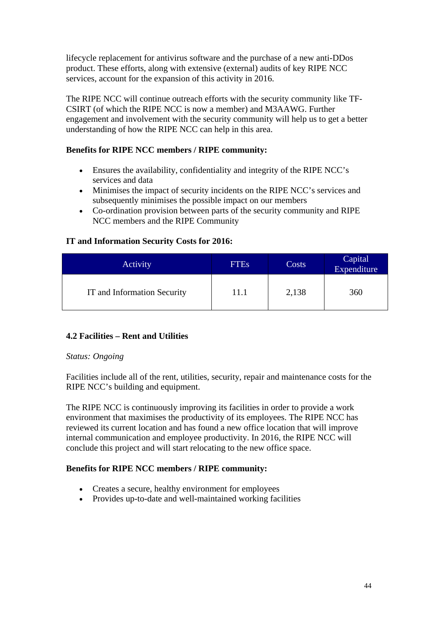lifecycle replacement for antivirus software and the purchase of a new anti-DDos product. These efforts, along with extensive (external) audits of key RIPE NCC services, account for the expansion of this activity in 2016.

The RIPE NCC will continue outreach efforts with the security community like TF-CSIRT (of which the RIPE NCC is now a member) and M3AAWG. Further engagement and involvement with the security community will help us to get a better understanding of how the RIPE NCC can help in this area.

# **Benefits for RIPE NCC members / RIPE community:**

- Ensures the availability, confidentiality and integrity of the RIPE NCC's services and data
- Minimises the impact of security incidents on the RIPE NCC's services and subsequently minimises the possible impact on our members
- Co-ordination provision between parts of the security community and RIPE NCC members and the RIPE Community

# **IT and Information Security Costs for 2016:**

| Activity                    | <b>FTEs</b> | Costs | Capital<br>Expenditure |
|-----------------------------|-------------|-------|------------------------|
| IT and Information Security | 11.1        | 2,138 | 360                    |

# <span id="page-43-0"></span>**4.2 Facilities – Rent and Utilities**

# *Status: Ongoing*

Facilities include all of the rent, utilities, security, repair and maintenance costs for the RIPE NCC's building and equipment.

The RIPE NCC is continuously improving its facilities in order to provide a work environment that maximises the productivity of its employees. The RIPE NCC has reviewed its current location and has found a new office location that will improve internal communication and employee productivity. In 2016, the RIPE NCC will conclude this project and will start relocating to the new office space.

# **Benefits for RIPE NCC members / RIPE community:**

- Creates a secure, healthy environment for employees
- Provides up-to-date and well-maintained working facilities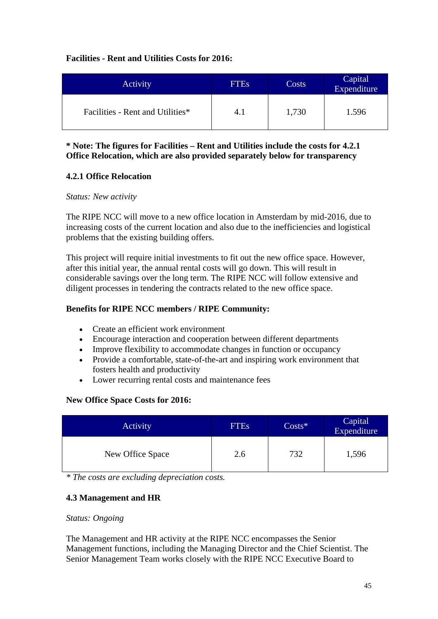# **Facilities - Rent and Utilities Costs for 2016:**

| Activity                         | <b>FTEs</b> | Costs | Capital<br>Expenditure |
|----------------------------------|-------------|-------|------------------------|
| Facilities - Rent and Utilities* | 4.1         | 1,730 | 1.596                  |

# **\* Note: The figures for Facilities – Rent and Utilities include the costs for 4.2.1 Office Relocation, which are also provided separately below for transparency**

# **4.2.1 Office Relocation**

#### *Status: New activity*

The RIPE NCC will move to a new office location in Amsterdam by mid-2016, due to increasing costs of the current location and also due to the inefficiencies and logistical problems that the existing building offers.

This project will require initial investments to fit out the new office space. However, after this initial year, the annual rental costs will go down. This will result in considerable savings over the long term. The RIPE NCC will follow extensive and diligent processes in tendering the contracts related to the new office space.

# **Benefits for RIPE NCC members / RIPE Community:**

- Create an efficient work environment
- Encourage interaction and cooperation between different departments
- Improve flexibility to accommodate changes in function or occupancy
- Provide a comfortable, state-of-the-art and inspiring work environment that fosters health and productivity
- Lower recurring rental costs and maintenance fees

# **New Office Space Costs for 2016:**

| Activity         | <b>FTEs</b> | $Costs*$ | Capital<br>Expenditure |
|------------------|-------------|----------|------------------------|
| New Office Space | 2.6         | 732      | 1,596                  |

<span id="page-44-0"></span>*\* The costs are excluding depreciation costs.*

# **4.3 Management and HR**

#### *Status: Ongoing*

The Management and HR activity at the RIPE NCC encompasses the Senior Management functions, including the Managing Director and the Chief Scientist. The Senior Management Team works closely with the RIPE NCC Executive Board to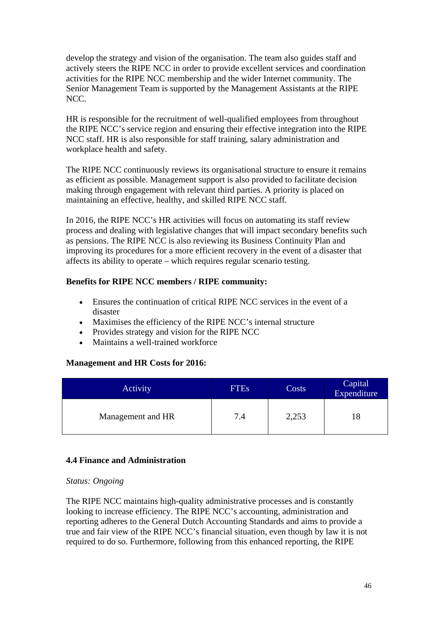develop the strategy and vision of the organisation. The team also guides staff and actively steers the RIPE NCC in order to provide excellent services and coordination activities for the RIPE NCC membership and the wider Internet community. The Senior Management Team is supported by the Management Assistants at the RIPE NCC.

HR is responsible for the recruitment of well-qualified employees from throughout the RIPE NCC's service region and ensuring their effective integration into the RIPE NCC staff. HR is also responsible for staff training, salary administration and workplace health and safety.

The RIPE NCC continuously reviews its organisational structure to ensure it remains as efficient as possible. Management support is also provided to facilitate decision making through engagement with relevant third parties. A priority is placed on maintaining an effective, healthy, and skilled RIPE NCC staff.

In 2016, the RIPE NCC's HR activities will focus on automating its staff review process and dealing with legislative changes that will impact secondary benefits such as pensions. The RIPE NCC is also reviewing its Business Continuity Plan and improving its procedures for a more efficient recovery in the event of a disaster that affects its ability to operate – which requires regular scenario testing.

# **Benefits for RIPE NCC members / RIPE community:**

- Ensures the continuation of critical RIPE NCC services in the event of a disaster
- Maximises the efficiency of the RIPE NCC's internal structure
- Provides strategy and vision for the RIPE NCC
- Maintains a well-trained workforce

# **Management and HR Costs for 2016:**

| Activity          | <b>FTEs</b> | Costs | Capital<br>Expenditure |
|-------------------|-------------|-------|------------------------|
| Management and HR | 7.4         | 2,253 | 18                     |

# <span id="page-45-0"></span>**4.4 Finance and Administration**

# *Status: Ongoing*

The RIPE NCC maintains high-quality administrative processes and is constantly looking to increase efficiency. The RIPE NCC's accounting, administration and reporting adheres to the General Dutch Accounting Standards and aims to provide a true and fair view of the RIPE NCC's financial situation, even though by law it is not required to do so. Furthermore, following from this enhanced reporting, the RIPE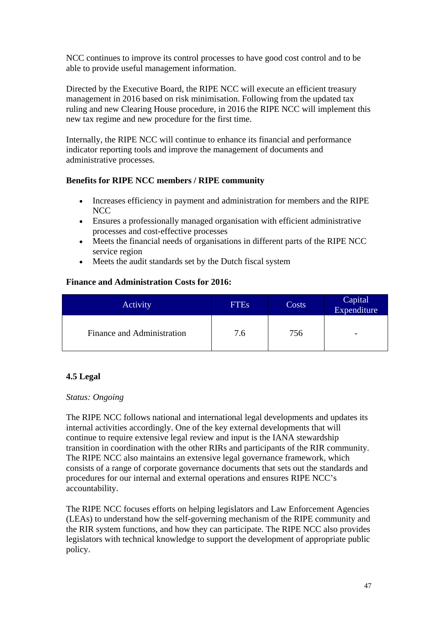NCC continues to improve its control processes to have good cost control and to be able to provide useful management information.

Directed by the Executive Board, the RIPE NCC will execute an efficient treasury management in 2016 based on risk minimisation. Following from the updated tax ruling and new Clearing House procedure, in 2016 the RIPE NCC will implement this new tax regime and new procedure for the first time.

Internally, the RIPE NCC will continue to enhance its financial and performance indicator reporting tools and improve the management of documents and administrative processes.

# **Benefits for RIPE NCC members / RIPE community**

- Increases efficiency in payment and administration for members and the RIPE **NCC**
- Ensures a professionally managed organisation with efficient administrative processes and cost-effective processes
- Meets the financial needs of organisations in different parts of the RIPE NCC service region
- Meets the audit standards set by the Dutch fiscal system

# **Finance and Administration Costs for 2016:**

| <b>Activity</b>            | <b>FTEs</b> | Costs | Capital<br>Expenditure |
|----------------------------|-------------|-------|------------------------|
| Finance and Administration | 7.6         | 756   | -                      |

# <span id="page-46-0"></span>**4.5 Legal**

# *Status: Ongoing*

The RIPE NCC follows national and international legal developments and updates its internal activities accordingly. One of the key external developments that will continue to require extensive legal review and input is the IANA stewardship transition in coordination with the other RIRs and participants of the RIR community. The RIPE NCC also maintains an extensive legal governance framework, which consists of a range of corporate governance documents that sets out the standards and procedures for our internal and external operations and ensures RIPE NCC's accountability.

The RIPE NCC focuses efforts on helping legislators and Law Enforcement Agencies (LEAs) to understand how the self-governing mechanism of the RIPE community and the RIR system functions, and how they can participate. The RIPE NCC also provides legislators with technical knowledge to support the development of appropriate public policy.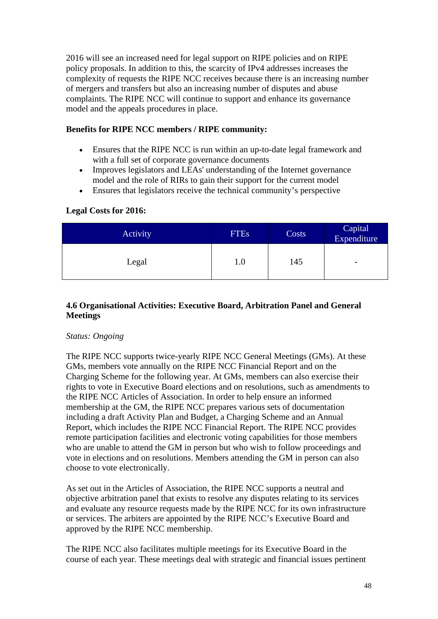2016 will see an increased need for legal support on RIPE policies and on RIPE policy proposals. In addition to this, the scarcity of IPv4 addresses increases the complexity of requests the RIPE NCC receives because there is an increasing number of mergers and transfers but also an increasing number of disputes and abuse complaints. The RIPE NCC will continue to support and enhance its governance model and the appeals procedures in place.

# **Benefits for RIPE NCC members / RIPE community:**

- Ensures that the RIPE NCC is run within an up-to-date legal framework and with a full set of corporate governance documents
- Improves legislators and LEAs' understanding of the Internet governance model and the role of RIRs to gain their support for the current model
- Ensures that legislators receive the technical community's perspective

# **Legal Costs for 2016:**

| <b>Activity</b> | <b>FTEs</b> | Costs | Capital<br>Expenditure   |
|-----------------|-------------|-------|--------------------------|
| Legal           | 1.0         | 145   | $\overline{\phantom{0}}$ |

# <span id="page-47-0"></span>**4.6 Organisational Activities: Executive Board, Arbitration Panel and General Meetings**

# *Status: Ongoing*

The RIPE NCC supports twice-yearly RIPE NCC General Meetings (GMs). At these GMs, members vote annually on the RIPE NCC Financial Report and on the Charging Scheme for the following year. At GMs, members can also exercise their rights to vote in Executive Board elections and on resolutions, such as amendments to the RIPE NCC Articles of Association. In order to help ensure an informed membership at the GM, the RIPE NCC prepares various sets of documentation including a draft Activity Plan and Budget, a Charging Scheme and an Annual Report, which includes the RIPE NCC Financial Report. The RIPE NCC provides remote participation facilities and electronic voting capabilities for those members who are unable to attend the GM in person but who wish to follow proceedings and vote in elections and on resolutions. Members attending the GM in person can also choose to vote electronically.

As set out in the Articles of Association, the RIPE NCC supports a neutral and objective arbitration panel that exists to resolve any disputes relating to its services and evaluate any resource requests made by the RIPE NCC for its own infrastructure or services. The arbiters are appointed by the RIPE NCC's Executive Board and approved by the RIPE NCC membership.

The RIPE NCC also facilitates multiple meetings for its Executive Board in the course of each year. These meetings deal with strategic and financial issues pertinent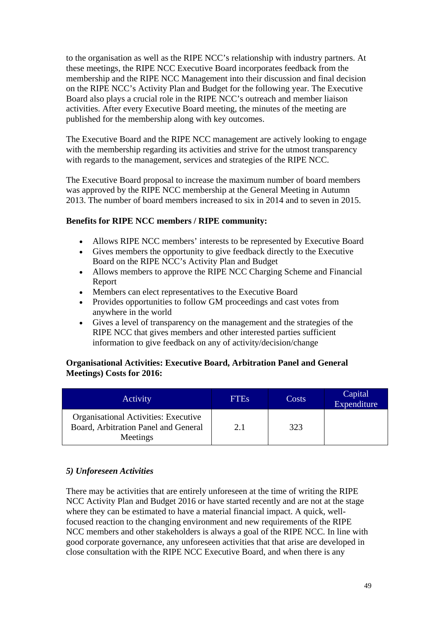to the organisation as well as the RIPE NCC's relationship with industry partners. At these meetings, the RIPE NCC Executive Board incorporates feedback from the membership and the RIPE NCC Management into their discussion and final decision on the RIPE NCC's Activity Plan and Budget for the following year. The Executive Board also plays a crucial role in the RIPE NCC's outreach and member liaison activities. After every Executive Board meeting, the minutes of the meeting are published for the membership along with key outcomes.

The Executive Board and the RIPE NCC management are actively looking to engage with the membership regarding its activities and strive for the utmost transparency with regards to the management, services and strategies of the RIPE NCC.

The Executive Board proposal to increase the maximum number of board members was approved by the RIPE NCC membership at the General Meeting in Autumn 2013. The number of board members increased to six in 2014 and to seven in 2015.

# **Benefits for RIPE NCC members / RIPE community:**

- Allows RIPE NCC members' interests to be represented by Executive Board
- Gives members the opportunity to give feedback directly to the Executive Board on the RIPE NCC's Activity Plan and Budget
- Allows members to approve the RIPE NCC Charging Scheme and Financial Report
- Members can elect representatives to the Executive Board
- Provides opportunities to follow GM proceedings and cast votes from anywhere in the world
- Gives a level of transparency on the management and the strategies of the RIPE NCC that gives members and other interested parties sufficient information to give feedback on any of activity/decision/change

# **Organisational Activities: Executive Board, Arbitration Panel and General Meetings) Costs for 2016:**

| Activity                                                                                 | <b>FTES</b> | Costs | Capital<br>Expenditure |
|------------------------------------------------------------------------------------------|-------------|-------|------------------------|
| Organisational Activities: Executive<br>Board, Arbitration Panel and General<br>Meetings | 2.1         | 323   |                        |

# *5) Unforeseen Activities*

There may be activities that are entirely unforeseen at the time of writing the RIPE NCC Activity Plan and Budget 2016 or have started recently and are not at the stage where they can be estimated to have a material financial impact. A quick, wellfocused reaction to the changing environment and new requirements of the RIPE NCC members and other stakeholders is always a goal of the RIPE NCC. In line with good corporate governance, any unforeseen activities that that arise are developed in close consultation with the RIPE NCC Executive Board, and when there is any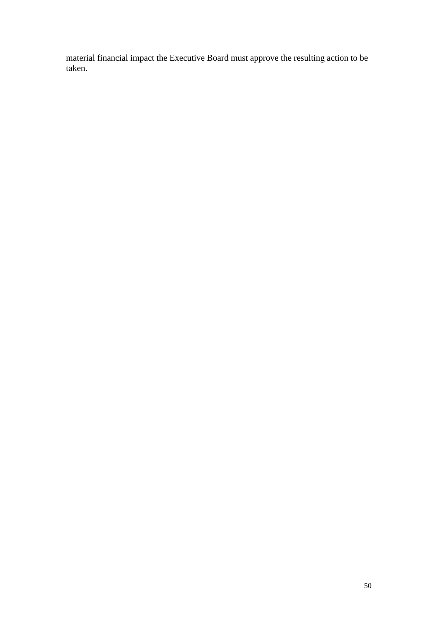material financial impact the Executive Board must approve the resulting action to be taken.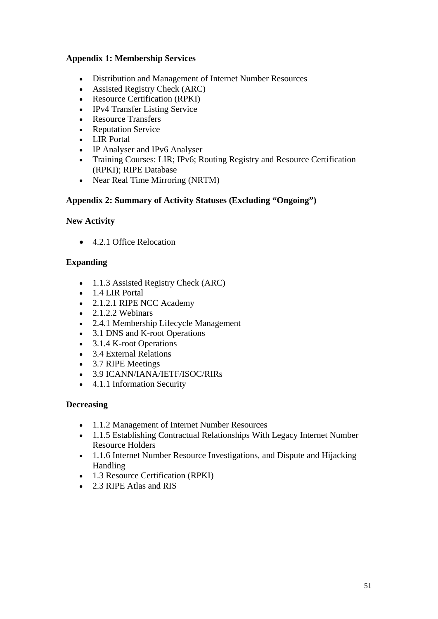# **Appendix 1: Membership Services**

- Distribution and Management of Internet Number Resources
- Assisted Registry Check (ARC)
- Resource Certification (RPKI)
- IPv4 Transfer Listing Service
- Resource Transfers
- Reputation Service
- LIR Portal
- IP Analyser and IPv6 Analyser
- Training Courses: LIR; IPv6; Routing Registry and Resource Certification (RPKI); RIPE Database
- Near Real Time Mirroring (NRTM)

#### **Appendix 2: Summary of Activity Statuses (Excluding "Ongoing")**

#### **New Activity**

• 4.2.1 Office Relocation

#### **Expanding**

- 1.1.3 Assisted Registry Check (ARC)
- 1.4 LIR Portal
- 2.1.2.1 RIPE NCC Academy
- 2.1.2.2 Webinars
- 2.4.1 Membership Lifecycle Management
- 3.1 DNS and K-root Operations
- 3.1.4 K-root Operations
- 3.4 External Relations
- 3.7 RIPE Meetings
- 3.9 ICANN/IANA/IETF/ISOC/RIRs
- 4.1.1 Information Security

#### **Decreasing**

- 1.1.2 Management of Internet Number Resources
- 1.1.5 Establishing Contractual Relationships With Legacy Internet Number Resource Holders
- 1.1.6 Internet Number Resource Investigations, and Dispute and Hijacking Handling
- 1.3 Resource Certification (RPKI)
- 2.3 RIPE Atlas and RIS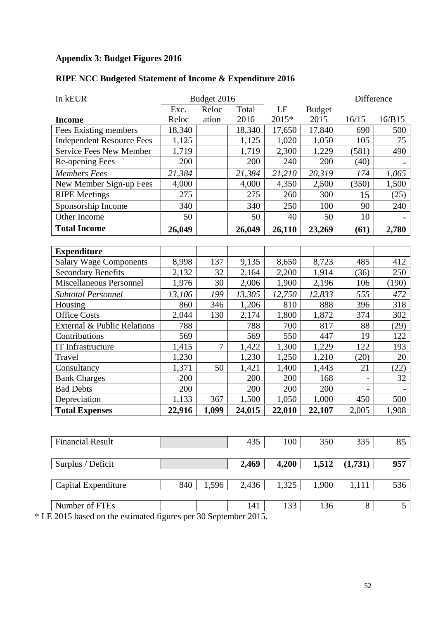# **Appendix 3: Budget Figures 2016**

# **RIPE NCC Budgeted Statement of Income & Expenditure 2016**

| Budget 2016 |                |        | Difference          |                     |                     |                 |
|-------------|----------------|--------|---------------------|---------------------|---------------------|-----------------|
| Exc.        | Reloc          | Total  | LE                  | <b>Budget</b>       |                     |                 |
| Reloc       | ation          | 2016   | 2015*               | 2015                | 16/15               | 16/B15          |
| 18,340      |                | 18,340 | 17,650              | 17,840              | 690                 | 500             |
| 1,125       |                | 1,125  | 1,020               | 1,050               | 105                 | 75              |
| 1,719       |                | 1,719  | 2,300               | 1,229               | (581)               | 490             |
| 200         |                | 200    | 240                 | 200                 | (40)                |                 |
| 21,384      |                | 21,384 | 21,210              | 20,319              | 174                 | 1,065           |
| 4,000       |                | 4,000  | 4,350               | 2,500               | (350)               | 1,500           |
| 275         |                | 275    | 260                 | 300                 | 15                  | (25)            |
| 340         |                | 340    | 250                 | 100                 | 90                  | 240             |
| 50          |                | 50     | 40                  | 50                  | 10                  |                 |
| 26,049      |                | 26,049 | 26,110              | 23,269              | (61)                | 2,780           |
|             |                |        |                     |                     |                     |                 |
|             |                |        |                     |                     |                     |                 |
| 8,998       | 137            | 9,135  | 8,650               | 8,723               | 485                 | 412             |
| 2,132       | 32             | 2,164  | 2,200               | 1,914               | (36)                | 250             |
| 1,976       | 30             | 2,006  | 1,900               | 2,196               | 106                 | (190)           |
| 13,106      | 199            | 13,305 | 12,750              | 12,833              | 555                 | 472             |
| 860         | 346            | 1,206  | 810                 | 888                 | 396                 | 318             |
| 2,044       | 130            | 2,174  | 1,800               | 1,872               | 374                 | 302             |
| 788         |                | 788    | 700                 | 817                 | 88                  | (29)            |
| 569         |                | 569    | 550                 | 447                 | 19                  | 122             |
| 1,415       | $\overline{7}$ | 1,422  | 1,300               | 1,229               | 122                 | 193             |
| 1,230       |                | 1,230  | 1,250               | 1,210               | (20)                | 20              |
| 1,371       | 50             | 1,421  | 1,400               | 1,443               | 21                  | (22)            |
| 200         |                | 200    | 200                 | 168                 |                     | 32              |
| 200         |                | 200    | 200                 | 200                 |                     |                 |
|             |                |        |                     |                     |                     | 500             |
| 22,916      | 1,099          | 24,015 | 22,010              | 22,107              | 2,005               | 1,908           |
|             |                |        |                     |                     |                     |                 |
|             |                |        |                     |                     |                     | 85              |
|             |                |        |                     |                     |                     |                 |
|             |                | 2,469  | 4,200               | 1,512               | (1,731)             | 957             |
|             |                |        |                     |                     |                     |                 |
| 840         | 1,596          | 2,436  | 1,325               | 1,900               | 1,111               | 536             |
|             |                |        |                     |                     |                     | $5\overline{)}$ |
|             | 1,133          | 367    | 1,500<br>435<br>141 | 1,050<br>100<br>133 | 1,000<br>350<br>136 | 450<br>335<br>8 |

\* LE 2015 based on the estimated figures per 30 September 2015.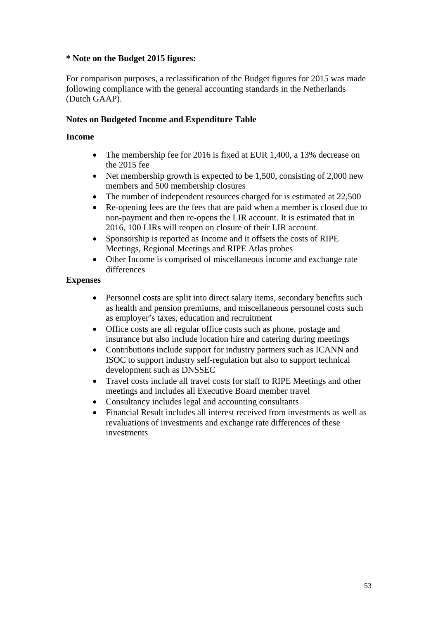# **\* Note on the Budget 2015 figures:**

For comparison purposes, a reclassification of the Budget figures for 2015 was made following compliance with the general accounting standards in the Netherlands (Dutch GAAP).

# **Notes on Budgeted Income and Expenditure Table**

# **Income**

- The membership fee for 2016 is fixed at EUR 1,400, a 13% decrease on the 2015 fee
- Net membership growth is expected to be 1,500, consisting of 2,000 new members and 500 membership closures
- The number of independent resources charged for is estimated at 22,500
- Re-opening fees are the fees that are paid when a member is closed due to non-payment and then re-opens the LIR account. It is estimated that in 2016, 100 LIRs will reopen on closure of their LIR account.
- Sponsorship is reported as Income and it offsets the costs of RIPE Meetings, Regional Meetings and RIPE Atlas probes
- Other Income is comprised of miscellaneous income and exchange rate differences

# **Expenses**

- Personnel costs are split into direct salary items, secondary benefits such as health and pension premiums, and miscellaneous personnel costs such as employer's taxes, education and recruitment
- Office costs are all regular office costs such as phone, postage and insurance but also include location hire and catering during meetings
- Contributions include support for industry partners such as ICANN and ISOC to support industry self-regulation but also to support technical development such as DNSSEC
- Travel costs include all travel costs for staff to RIPE Meetings and other meetings and includes all Executive Board member travel
- Consultancy includes legal and accounting consultants
- Financial Result includes all interest received from investments as well as revaluations of investments and exchange rate differences of these investments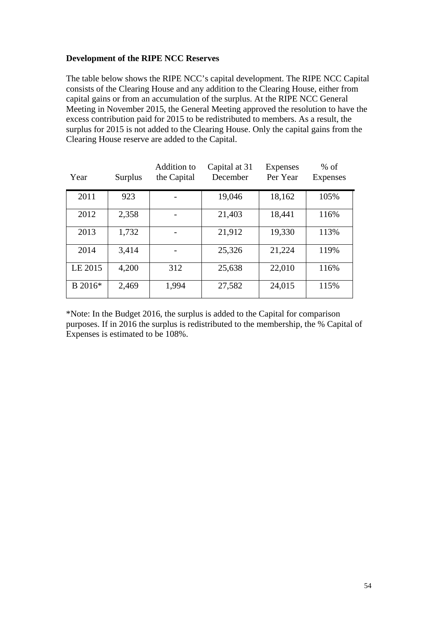# **Development of the RIPE NCC Reserves**

The table below shows the RIPE NCC's capital development. The RIPE NCC Capital consists of the Clearing House and any addition to the Clearing House, either from capital gains or from an accumulation of the surplus. At the RIPE NCC General Meeting in November 2015, the General Meeting approved the resolution to have the excess contribution paid for 2015 to be redistributed to members. As a result, the surplus for 2015 is not added to the Clearing House. Only the capital gains from the Clearing House reserve are added to the Capital.

| Year    | Surplus | Addition to<br>the Capital | Capital at 31<br>December | Expenses<br>Per Year | $%$ of<br>Expenses |
|---------|---------|----------------------------|---------------------------|----------------------|--------------------|
| 2011    | 923     |                            | 19,046                    | 18,162               | 105%               |
| 2012    | 2,358   |                            | 21,403                    | 18,441               | 116%               |
| 2013    | 1,732   |                            | 21,912                    | 19,330               | 113%               |
| 2014    | 3,414   |                            | 25,326                    | 21,224               | 119%               |
| LE 2015 | 4,200   | 312                        | 25,638                    | 22,010               | 116%               |
| B 2016* | 2,469   | 1,994                      | 27,582                    | 24,015               | 115%               |

\*Note: In the Budget 2016, the surplus is added to the Capital for comparison purposes. If in 2016 the surplus is redistributed to the membership, the % Capital of Expenses is estimated to be 108%.